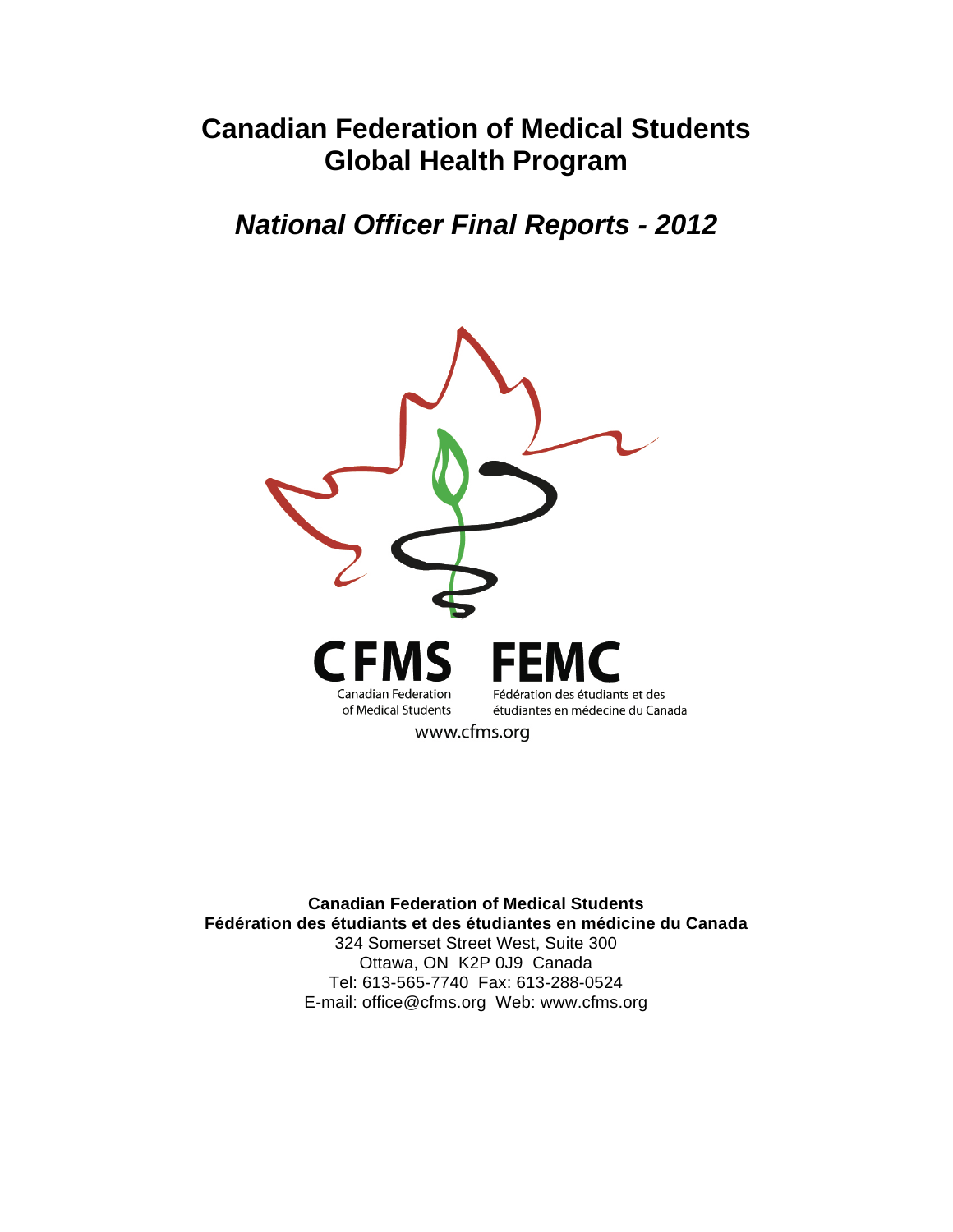# **Canadian Federation of Medical Students Global Health Program**

# *National Officer Final Reports - 2012*



**Canadian Federation of Medical Students Fédération des étudiants et des étudiantes en médicine du Canada**  324 Somerset Street West, Suite 300 Ottawa, ON K2P 0J9 Canada Tel: 613-565-7740 Fax: 613-288-0524 E-mail: office@cfms.org Web: www.cfms.org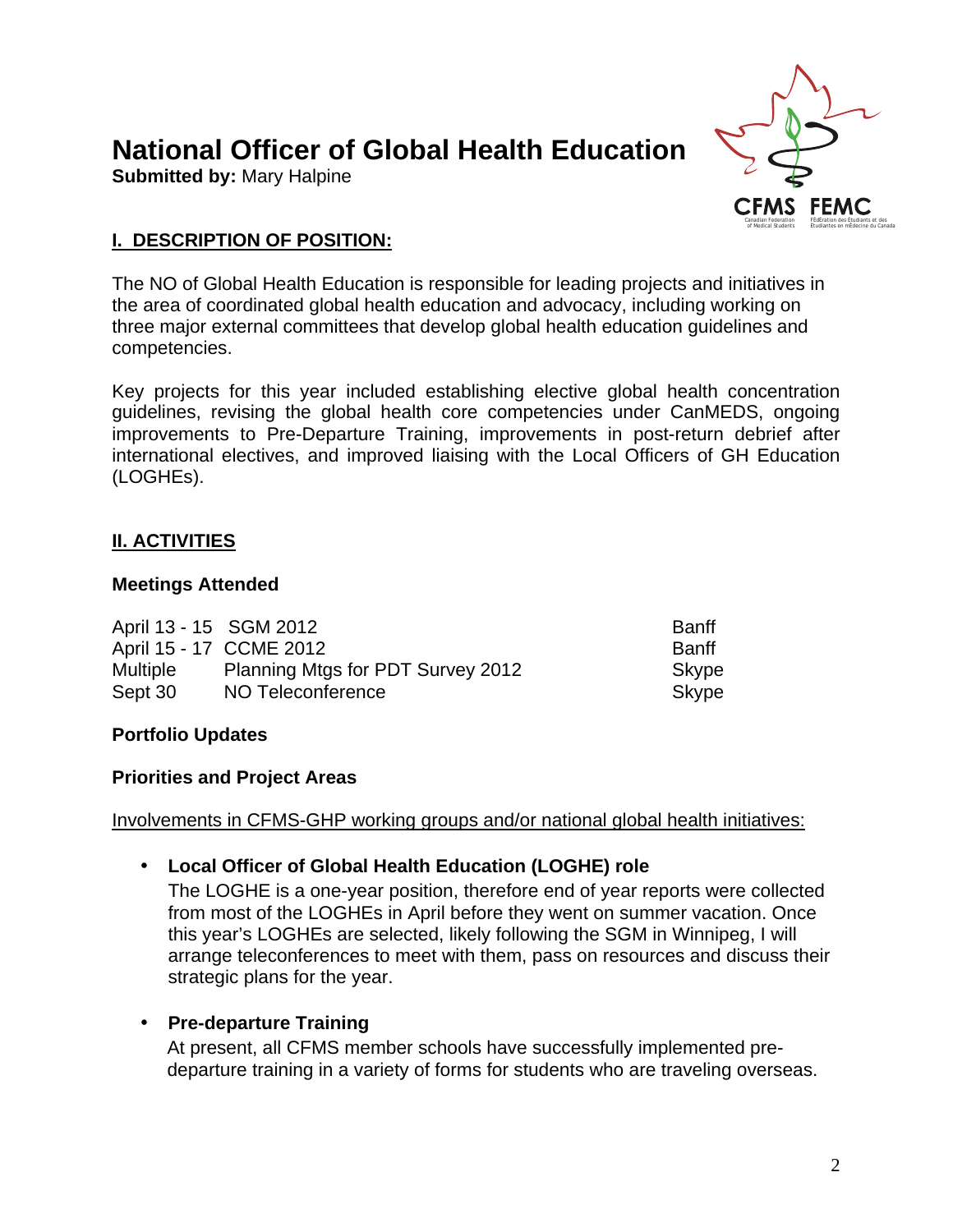# **National Officer of Global Health Education**

**Submitted by:** Mary Halpine



# **I. DESCRIPTION OF POSITION:**

The NO of Global Health Education is responsible for leading projects and initiatives in the area of coordinated global health education and advocacy, including working on three major external committees that develop global health education guidelines and competencies.

Key projects for this year included establishing elective global health concentration guidelines, revising the global health core competencies under CanMEDS, ongoing improvements to Pre-Departure Training, improvements in post-return debrief after international electives, and improved liaising with the Local Officers of GH Education (LOGHEs).

# **II. ACTIVITIES**

#### **Meetings Attended**

| April 13 - 15 SGM 2012 |                                   | <b>Banff</b> |
|------------------------|-----------------------------------|--------------|
|                        | April 15 - 17 CCME 2012           | <b>Banff</b> |
| <b>Multiple</b>        | Planning Mtgs for PDT Survey 2012 | Skype        |
| Sept 30                | NO Teleconference                 | Skype        |

# **Portfolio Updates**

#### **Priorities and Project Areas**

Involvements in CFMS-GHP working groups and/or national global health initiatives:

# • **Local Officer of Global Health Education (LOGHE) role**

The LOGHE is a one-year position, therefore end of year reports were collected from most of the LOGHEs in April before they went on summer vacation. Once this year's LOGHEs are selected, likely following the SGM in Winnipeg, I will arrange teleconferences to meet with them, pass on resources and discuss their strategic plans for the year.

# • **Pre-departure Training**

At present, all CFMS member schools have successfully implemented predeparture training in a variety of forms for students who are traveling overseas.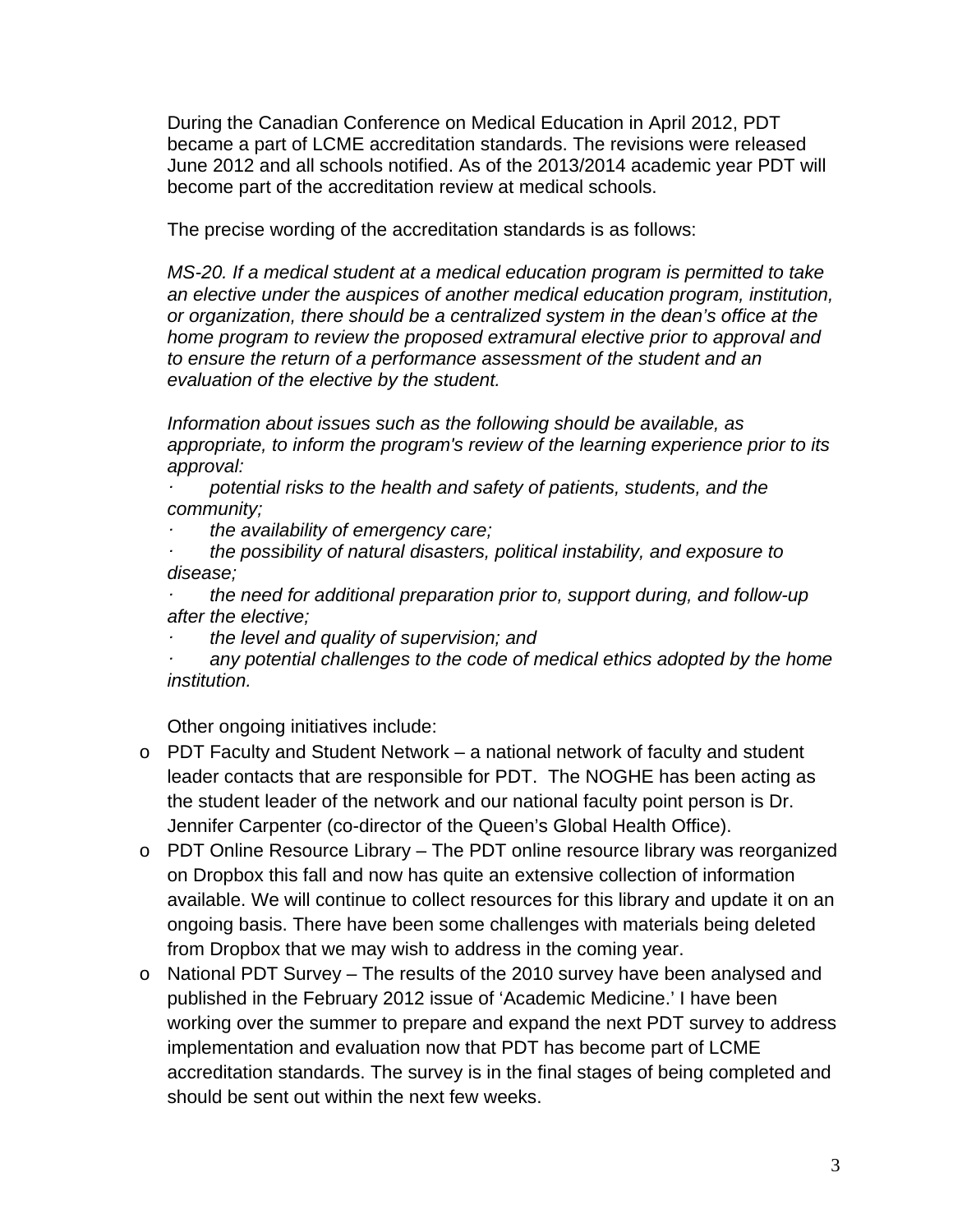During the Canadian Conference on Medical Education in April 2012, PDT became a part of LCME accreditation standards. The revisions were released June 2012 and all schools notified. As of the 2013/2014 academic year PDT will become part of the accreditation review at medical schools.

The precise wording of the accreditation standards is as follows:

*MS-20. If a medical student at a medical education program is permitted to take an elective under the auspices of another medical education program, institution, or organization, there should be a centralized system in the dean's office at the home program to review the proposed extramural elective prior to approval and to ensure the return of a performance assessment of the student and an evaluation of the elective by the student.*

*Information about issues such as the following should be available, as appropriate, to inform the program's review of the learning experience prior to its approval:*

 *potential risks to the health and safety of patients, students, and the community;*

 *the availability of emergency care;*

 *the possibility of natural disasters, political instability, and exposure to disease;*

 *the need for additional preparation prior to, support during, and follow-up after the elective;* 

 *the level and quality of supervision; and*

 *any potential challenges to the code of medical ethics adopted by the home institution.* 

Other ongoing initiatives include:

- o PDT Faculty and Student Network a national network of faculty and student leader contacts that are responsible for PDT. The NOGHE has been acting as the student leader of the network and our national faculty point person is Dr. Jennifer Carpenter (co-director of the Queen's Global Health Office).
- o PDT Online Resource Library The PDT online resource library was reorganized on Dropbox this fall and now has quite an extensive collection of information available. We will continue to collect resources for this library and update it on an ongoing basis. There have been some challenges with materials being deleted from Dropbox that we may wish to address in the coming year.
- o National PDT Survey The results of the 2010 survey have been analysed and published in the February 2012 issue of 'Academic Medicine.' I have been working over the summer to prepare and expand the next PDT survey to address implementation and evaluation now that PDT has become part of LCME accreditation standards. The survey is in the final stages of being completed and should be sent out within the next few weeks.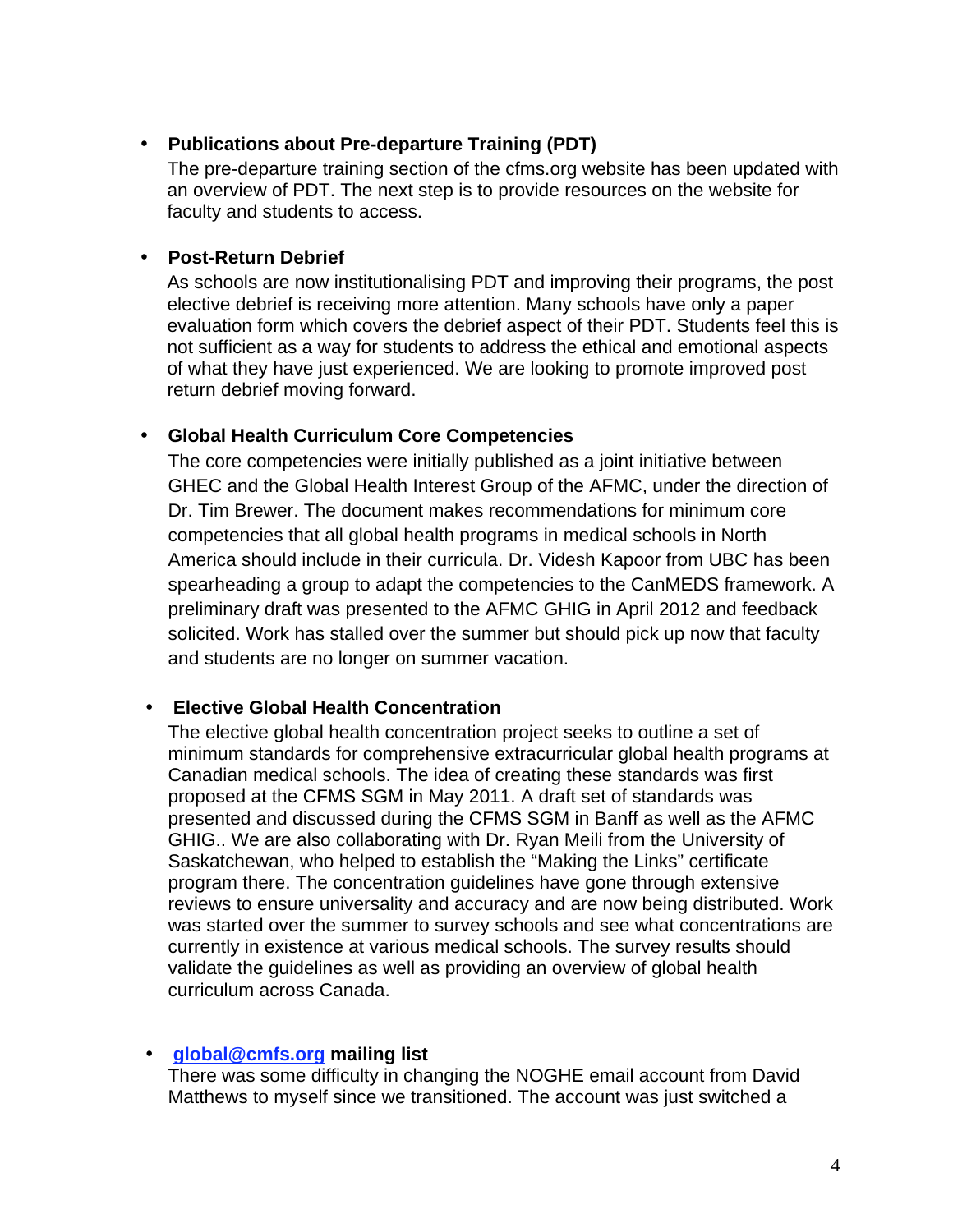# • **Publications about Pre-departure Training (PDT)**

The pre-departure training section of the cfms.org website has been updated with an overview of PDT. The next step is to provide resources on the website for faculty and students to access.

#### • **Post-Return Debrief**

As schools are now institutionalising PDT and improving their programs, the post elective debrief is receiving more attention. Many schools have only a paper evaluation form which covers the debrief aspect of their PDT. Students feel this is not sufficient as a way for students to address the ethical and emotional aspects of what they have just experienced. We are looking to promote improved post return debrief moving forward.

#### • **Global Health Curriculum Core Competencies**

The core competencies were initially published as a joint initiative between GHEC and the Global Health Interest Group of the AFMC, under the direction of Dr. Tim Brewer. The document makes recommendations for minimum core competencies that all global health programs in medical schools in North America should include in their curricula. Dr. Videsh Kapoor from UBC has been spearheading a group to adapt the competencies to the CanMEDS framework. A preliminary draft was presented to the AFMC GHIG in April 2012 and feedback solicited. Work has stalled over the summer but should pick up now that faculty and students are no longer on summer vacation.

# • **Elective Global Health Concentration**

The elective global health concentration project seeks to outline a set of minimum standards for comprehensive extracurricular global health programs at Canadian medical schools. The idea of creating these standards was first proposed at the CFMS SGM in May 2011. A draft set of standards was presented and discussed during the CFMS SGM in Banff as well as the AFMC GHIG.. We are also collaborating with Dr. Ryan Meili from the University of Saskatchewan, who helped to establish the "Making the Links" certificate program there. The concentration guidelines have gone through extensive reviews to ensure universality and accuracy and are now being distributed. Work was started over the summer to survey schools and see what concentrations are currently in existence at various medical schools. The survey results should validate the guidelines as well as providing an overview of global health curriculum across Canada.

#### • **global@cmfs.org mailing list**

There was some difficulty in changing the NOGHE email account from David Matthews to myself since we transitioned. The account was just switched a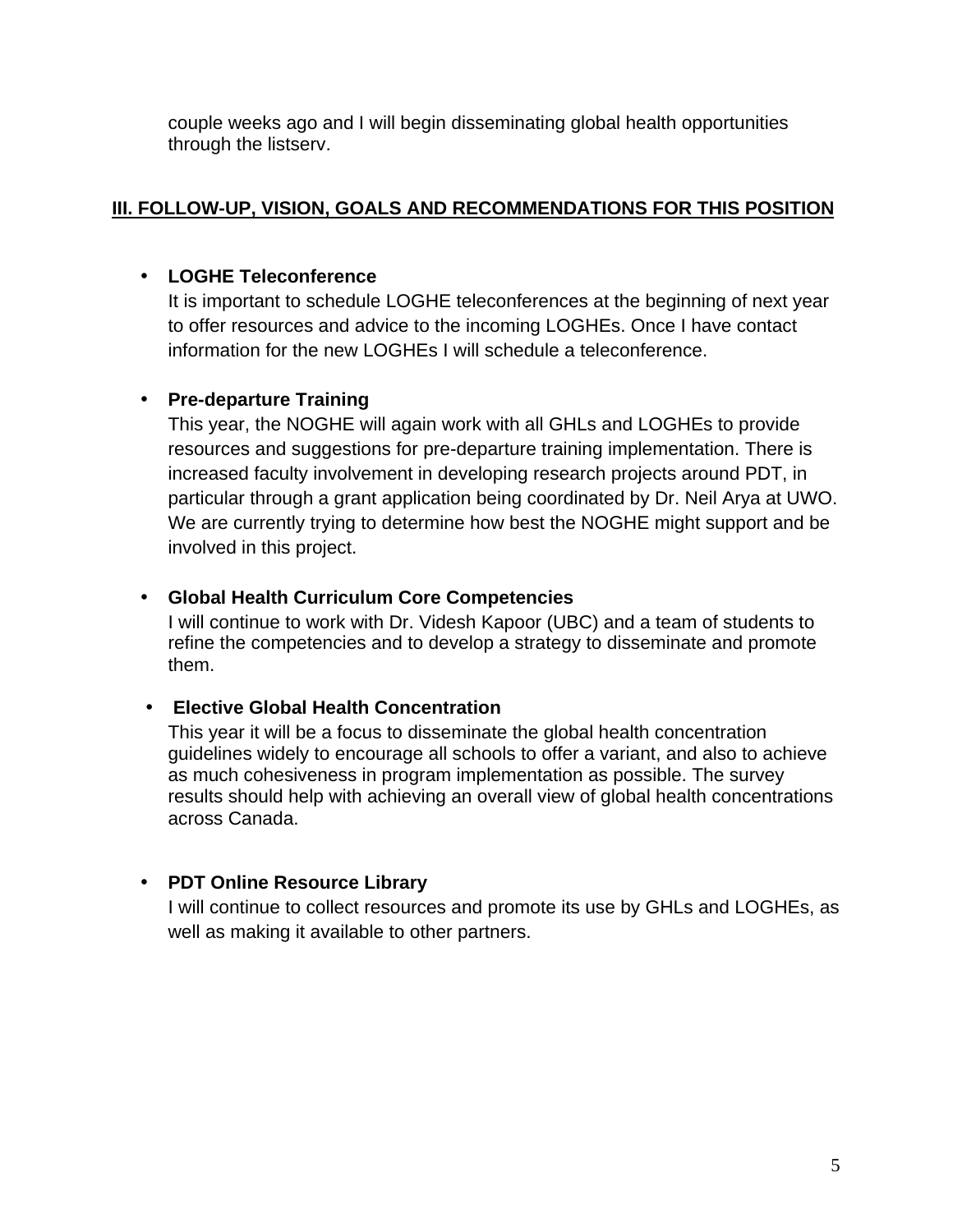couple weeks ago and I will begin disseminating global health opportunities through the listserv.

# **III. FOLLOW-UP, VISION, GOALS AND RECOMMENDATIONS FOR THIS POSITION**

# • **LOGHE Teleconference**

It is important to schedule LOGHE teleconferences at the beginning of next year to offer resources and advice to the incoming LOGHEs. Once I have contact information for the new LOGHEs I will schedule a teleconference.

# • **Pre-departure Training**

This year, the NOGHE will again work with all GHLs and LOGHEs to provide resources and suggestions for pre-departure training implementation. There is increased faculty involvement in developing research projects around PDT, in particular through a grant application being coordinated by Dr. Neil Arya at UWO. We are currently trying to determine how best the NOGHE might support and be involved in this project.

# • **Global Health Curriculum Core Competencies**

I will continue to work with Dr. Videsh Kapoor (UBC) and a team of students to refine the competencies and to develop a strategy to disseminate and promote them.

# • **Elective Global Health Concentration**

This year it will be a focus to disseminate the global health concentration guidelines widely to encourage all schools to offer a variant, and also to achieve as much cohesiveness in program implementation as possible. The survey results should help with achieving an overall view of global health concentrations across Canada.

# • **PDT Online Resource Library**

I will continue to collect resources and promote its use by GHLs and LOGHEs, as well as making it available to other partners.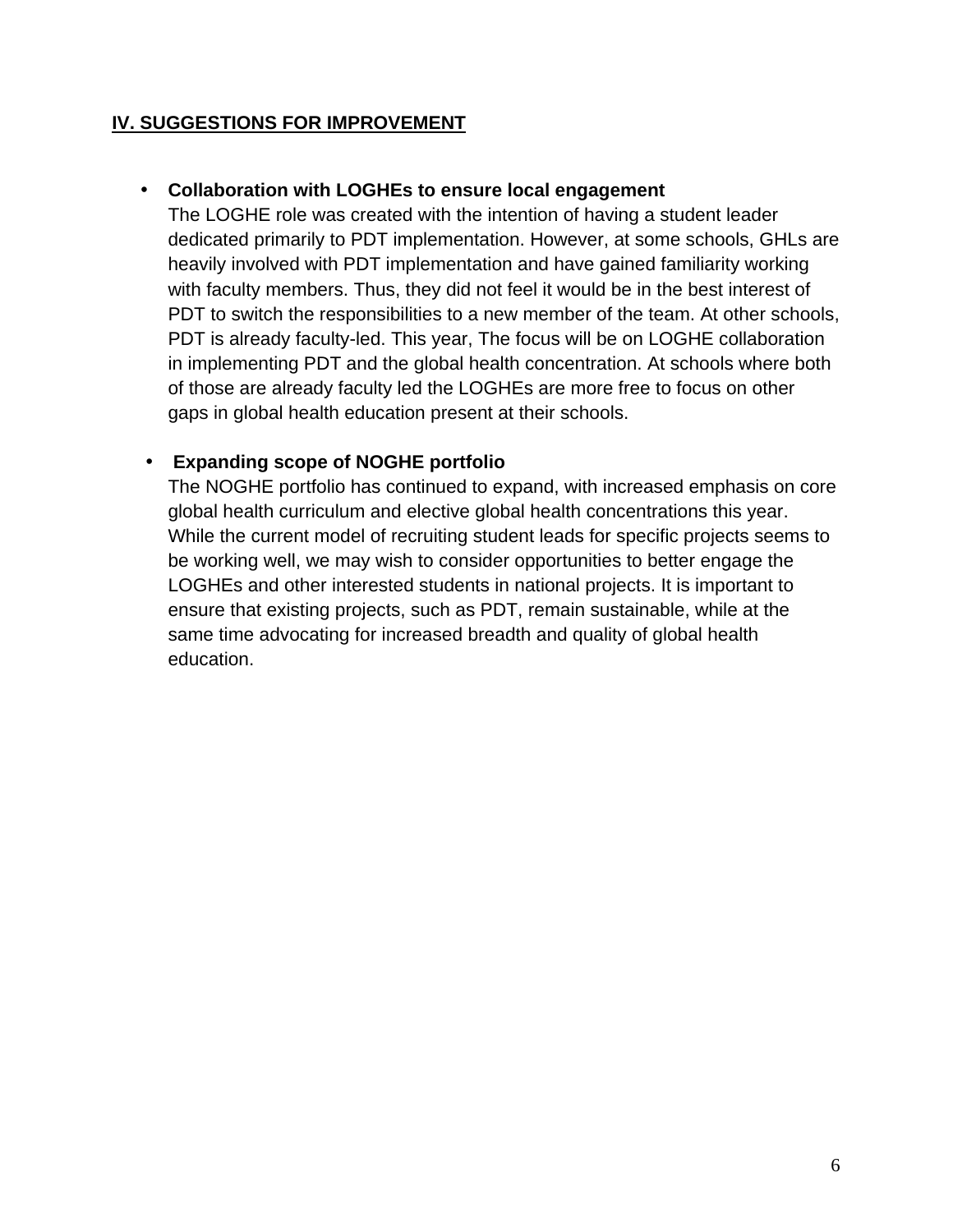# **IV. SUGGESTIONS FOR IMPROVEMENT**

# • **Collaboration with LOGHEs to ensure local engagement**

The LOGHE role was created with the intention of having a student leader dedicated primarily to PDT implementation. However, at some schools, GHLs are heavily involved with PDT implementation and have gained familiarity working with faculty members. Thus, they did not feel it would be in the best interest of PDT to switch the responsibilities to a new member of the team. At other schools, PDT is already faculty-led. This year, The focus will be on LOGHE collaboration in implementing PDT and the global health concentration. At schools where both of those are already faculty led the LOGHEs are more free to focus on other gaps in global health education present at their schools.

# • **Expanding scope of NOGHE portfolio**

The NOGHE portfolio has continued to expand, with increased emphasis on core global health curriculum and elective global health concentrations this year. While the current model of recruiting student leads for specific projects seems to be working well, we may wish to consider opportunities to better engage the LOGHEs and other interested students in national projects. It is important to ensure that existing projects, such as PDT, remain sustainable, while at the same time advocating for increased breadth and quality of global health education.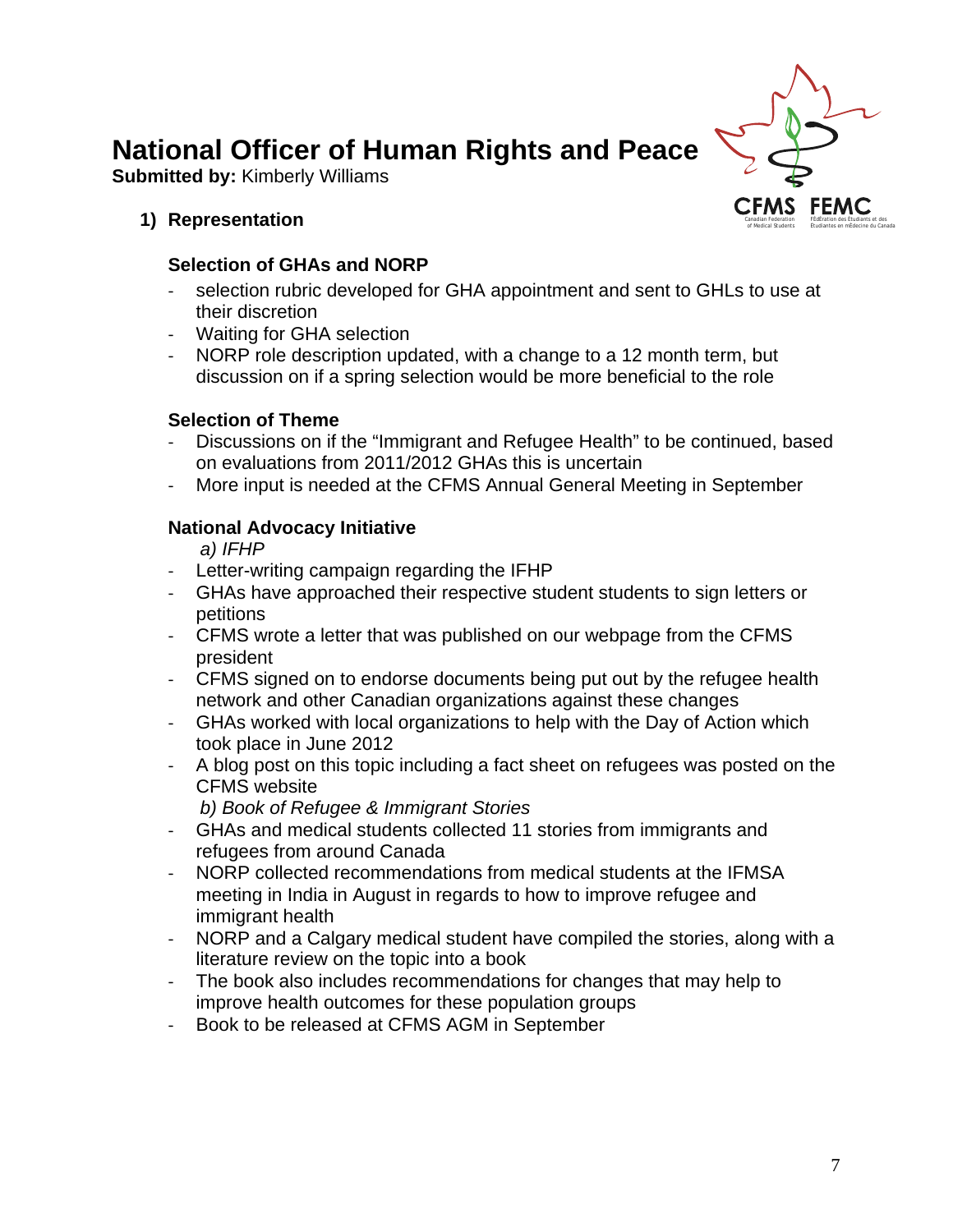# **National Officer of Human Rights and Peace**

**Submitted by: Kimberly Williams** 

### **1) Representation**

# **Selection of GHAs and NORP**

- selection rubric developed for GHA appointment and sent to GHLs to use at their discretion
- Waiting for GHA selection
- NORP role description updated, with a change to a 12 month term, but discussion on if a spring selection would be more beneficial to the role

# **Selection of Theme**

- Discussions on if the "Immigrant and Refugee Health" to be continued, based on evaluations from 2011/2012 GHAs this is uncertain
- More input is needed at the CFMS Annual General Meeting in September

# **National Advocacy Initiative**

*a) IFHP* 

- Letter-writing campaign regarding the IFHP
- GHAs have approached their respective student students to sign letters or petitions
- CFMS wrote a letter that was published on our webpage from the CFMS president
- CFMS signed on to endorse documents being put out by the refugee health network and other Canadian organizations against these changes
- GHAs worked with local organizations to help with the Day of Action which took place in June 2012
- A blog post on this topic including a fact sheet on refugees was posted on the CFMS website
	- *b) Book of Refugee & Immigrant Stories*
- GHAs and medical students collected 11 stories from immigrants and refugees from around Canada
- NORP collected recommendations from medical students at the IFMSA meeting in India in August in regards to how to improve refugee and immigrant health
- NORP and a Calgary medical student have compiled the stories, along with a literature review on the topic into a book
- The book also includes recommendations for changes that may help to improve health outcomes for these population groups
- Book to be released at CFMS AGM in September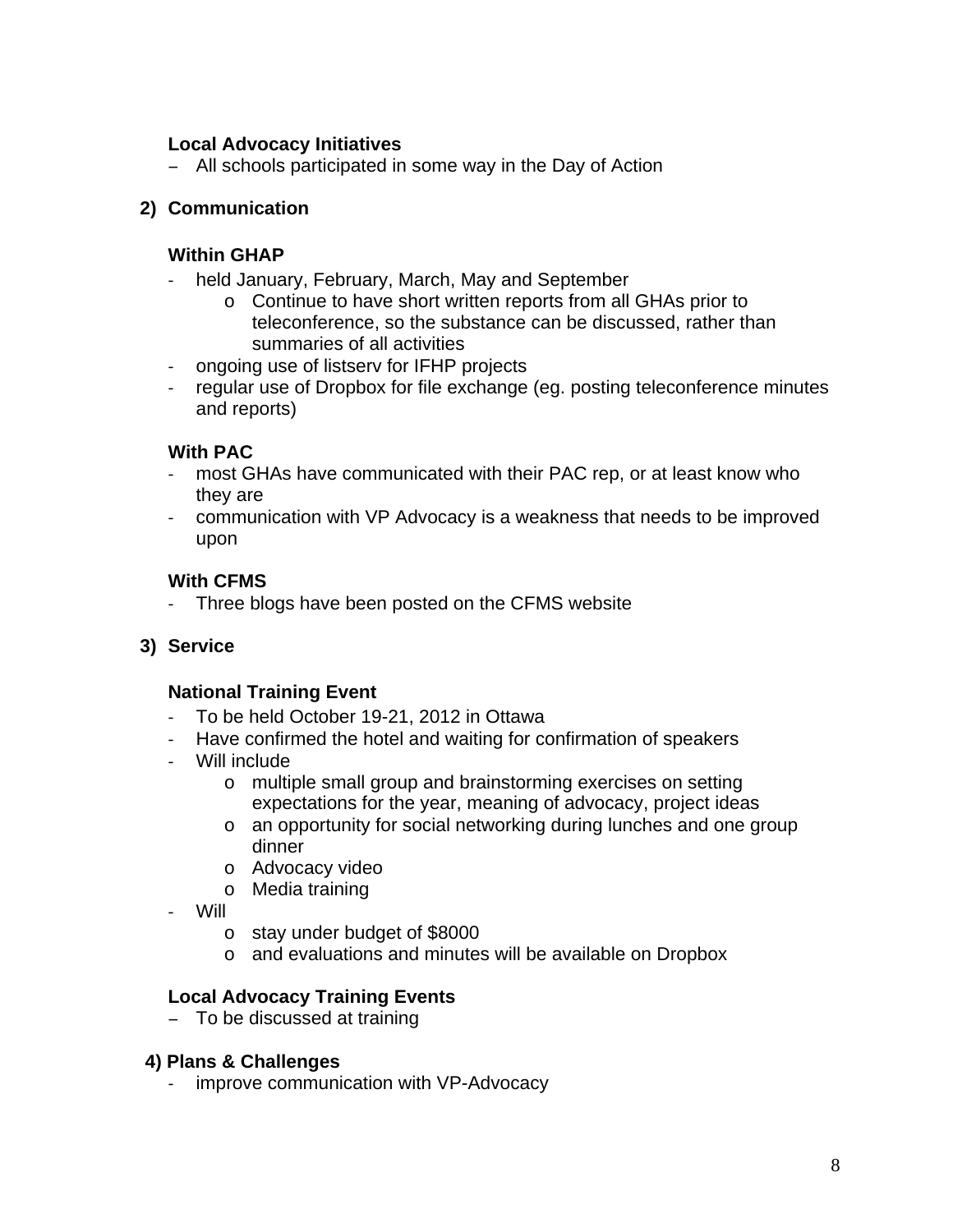### **Local Advocacy Initiatives**

All schools participated in some way in the Day of Action

### **2) Communication**

#### **Within GHAP**

- held January, February, March, May and September
	- o Continue to have short written reports from all GHAs prior to teleconference, so the substance can be discussed, rather than summaries of all activities
- ongoing use of listserv for IFHP projects
- regular use of Dropbox for file exchange (eg. posting teleconference minutes and reports)

#### **With PAC**

- most GHAs have communicated with their PAC rep, or at least know who they are
- communication with VP Advocacy is a weakness that needs to be improved upon

#### **With CFMS**

Three blogs have been posted on the CFMS website

#### **3) Service**

#### **National Training Event**

- To be held October 19-21, 2012 in Ottawa
- Have confirmed the hotel and waiting for confirmation of speakers
- Will include
	- o multiple small group and brainstorming exercises on setting expectations for the year, meaning of advocacy, project ideas
	- o an opportunity for social networking during lunches and one group dinner
	- o Advocacy video
	- o Media training
- Will
	- o stay under budget of \$8000
	- o and evaluations and minutes will be available on Dropbox

#### **Local Advocacy Training Events**

- To be discussed at training

#### **4) Plans & Challenges**

improve communication with VP-Advocacy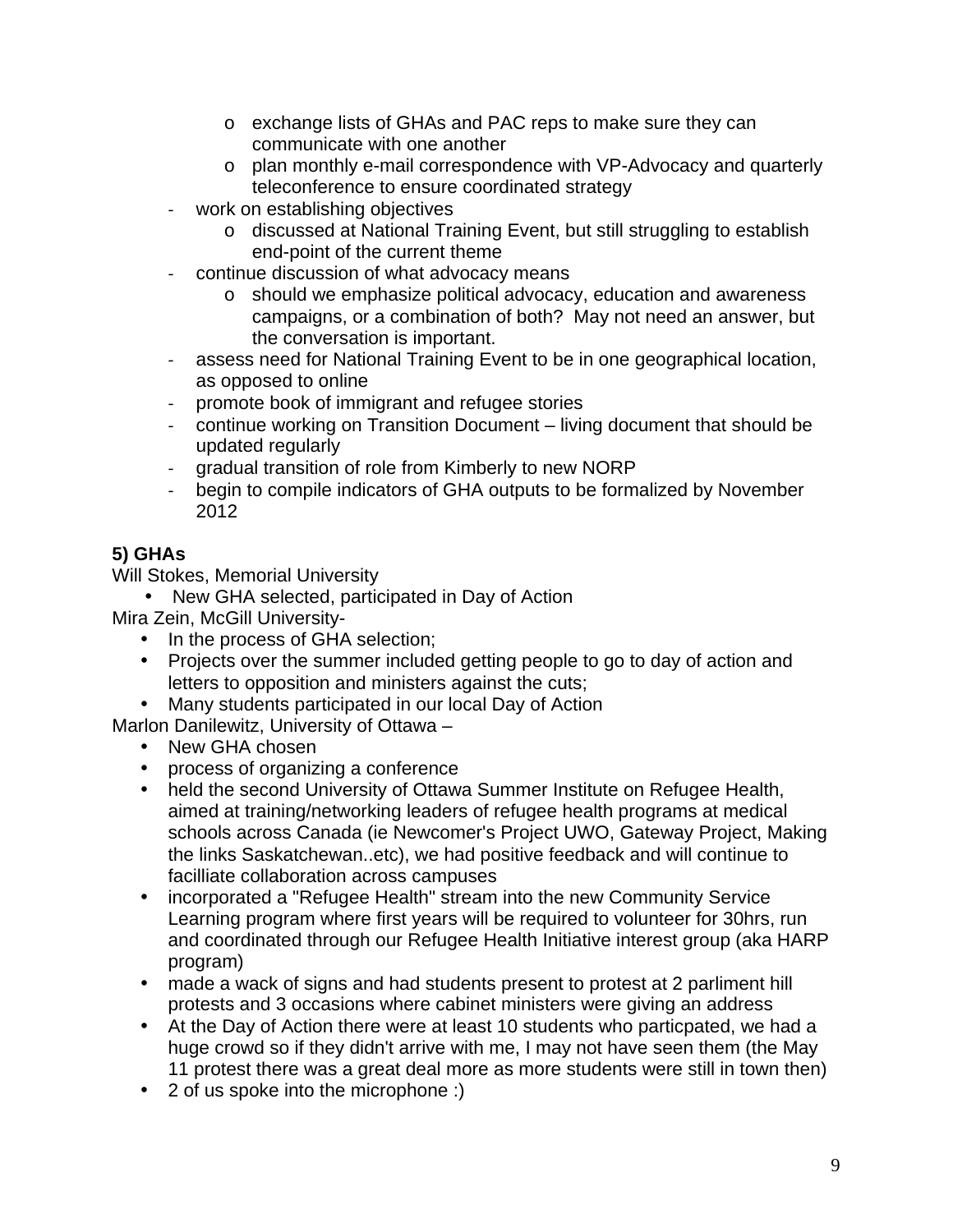- o exchange lists of GHAs and PAC reps to make sure they can communicate with one another
- o plan monthly e-mail correspondence with VP-Advocacy and quarterly teleconference to ensure coordinated strategy
- work on establishing objectives
	- o discussed at National Training Event, but still struggling to establish end-point of the current theme
- continue discussion of what advocacy means
	- o should we emphasize political advocacy, education and awareness campaigns, or a combination of both? May not need an answer, but the conversation is important.
- assess need for National Training Event to be in one geographical location, as opposed to online
- promote book of immigrant and refugee stories
- continue working on Transition Document living document that should be updated regularly
- gradual transition of role from Kimberly to new NORP
- begin to compile indicators of GHA outputs to be formalized by November 2012

# **5) GHAs**

Will Stokes, Memorial University

• New GHA selected, participated in Day of Action

Mira Zein, McGill University-

- In the process of GHA selection;
- Projects over the summer included getting people to go to day of action and letters to opposition and ministers against the cuts;
- Many students participated in our local Day of Action

Marlon Danilewitz, University of Ottawa –

- New GHA chosen
- process of organizing a conference
- held the second University of Ottawa Summer Institute on Refugee Health, aimed at training/networking leaders of refugee health programs at medical schools across Canada (ie Newcomer's Project UWO, Gateway Project, Making the links Saskatchewan..etc), we had positive feedback and will continue to facilliate collaboration across campuses
- incorporated a "Refugee Health" stream into the new Community Service Learning program where first years will be required to volunteer for 30hrs, run and coordinated through our Refugee Health Initiative interest group (aka HARP program)
- made a wack of signs and had students present to protest at 2 parliment hill protests and 3 occasions where cabinet ministers were giving an address
- At the Day of Action there were at least 10 students who particpated, we had a huge crowd so if they didn't arrive with me, I may not have seen them (the May 11 protest there was a great deal more as more students were still in town then)
- 2 of us spoke into the microphone :)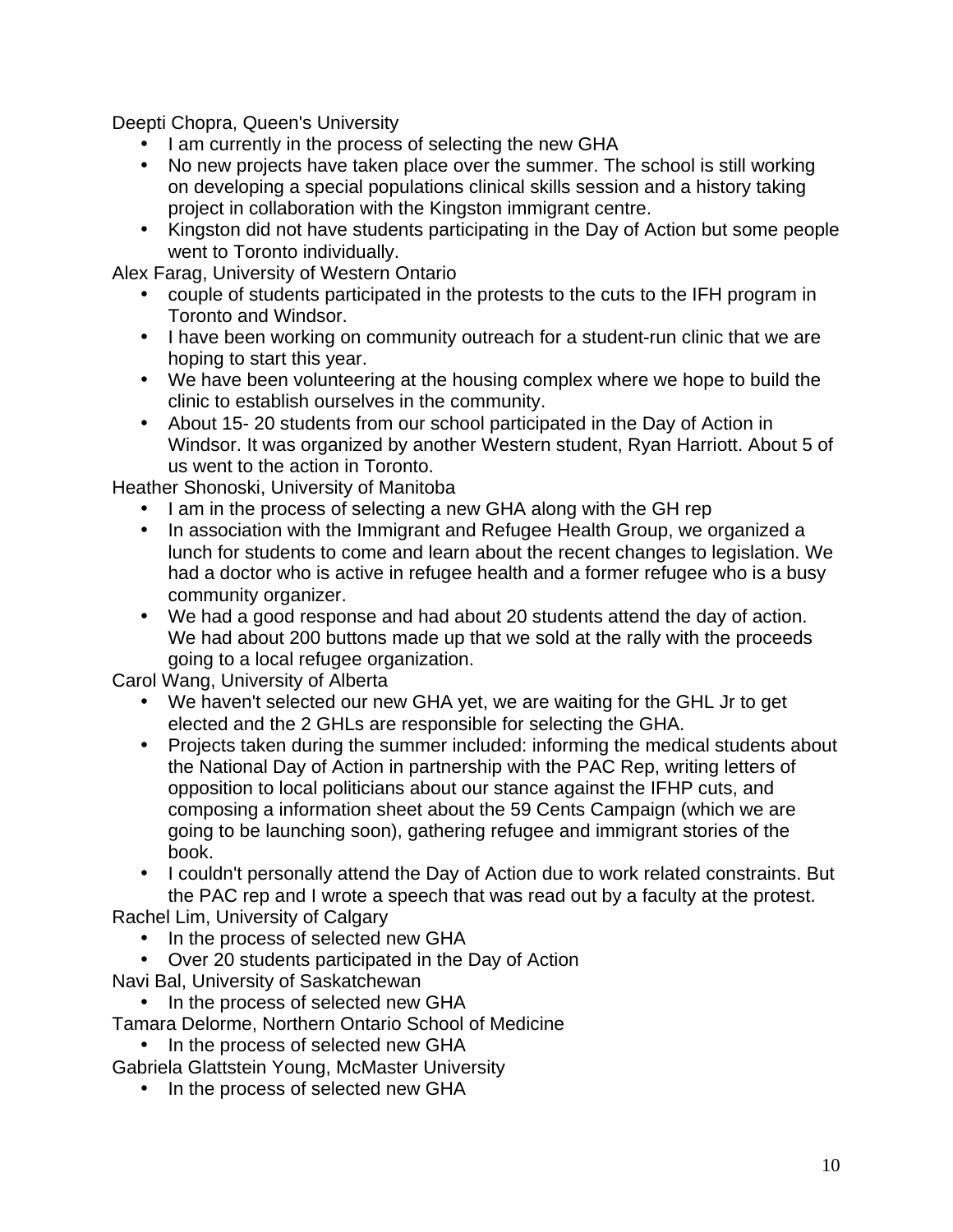Deepti Chopra, Queen's University

- I am currently in the process of selecting the new GHA
- No new projects have taken place over the summer. The school is still working on developing a special populations clinical skills session and a history taking project in collaboration with the Kingston immigrant centre.
- Kingston did not have students participating in the Day of Action but some people went to Toronto individually.

Alex Farag, University of Western Ontario

- couple of students participated in the protests to the cuts to the IFH program in Toronto and Windsor.
- I have been working on community outreach for a student-run clinic that we are hoping to start this year.
- We have been volunteering at the housing complex where we hope to build the clinic to establish ourselves in the community.
- About 15- 20 students from our school participated in the Day of Action in Windsor. It was organized by another Western student, Ryan Harriott. About 5 of us went to the action in Toronto.

Heather Shonoski, University of Manitoba

- I am in the process of selecting a new GHA along with the GH rep
- In association with the Immigrant and Refugee Health Group, we organized a lunch for students to come and learn about the recent changes to legislation. We had a doctor who is active in refugee health and a former refugee who is a busy community organizer.
- We had a good response and had about 20 students attend the day of action. We had about 200 buttons made up that we sold at the rally with the proceeds going to a local refugee organization.

Carol Wang, University of Alberta

- We haven't selected our new GHA yet, we are waiting for the GHL Jr to get elected and the 2 GHLs are responsible for selecting the GHA.
- Projects taken during the summer included: informing the medical students about the National Day of Action in partnership with the PAC Rep, writing letters of opposition to local politicians about our stance against the IFHP cuts, and composing a information sheet about the 59 Cents Campaign (which we are going to be launching soon), gathering refugee and immigrant stories of the book.

• I couldn't personally attend the Day of Action due to work related constraints. But the PAC rep and I wrote a speech that was read out by a faculty at the protest.

Rachel Lim, University of Calgary

- In the process of selected new GHA
- Over 20 students participated in the Day of Action
- Navi Bal, University of Saskatchewan

• In the process of selected new GHA

- Tamara Delorme, Northern Ontario School of Medicine
	- In the process of selected new GHA

Gabriela Glattstein Young, McMaster University

• In the process of selected new GHA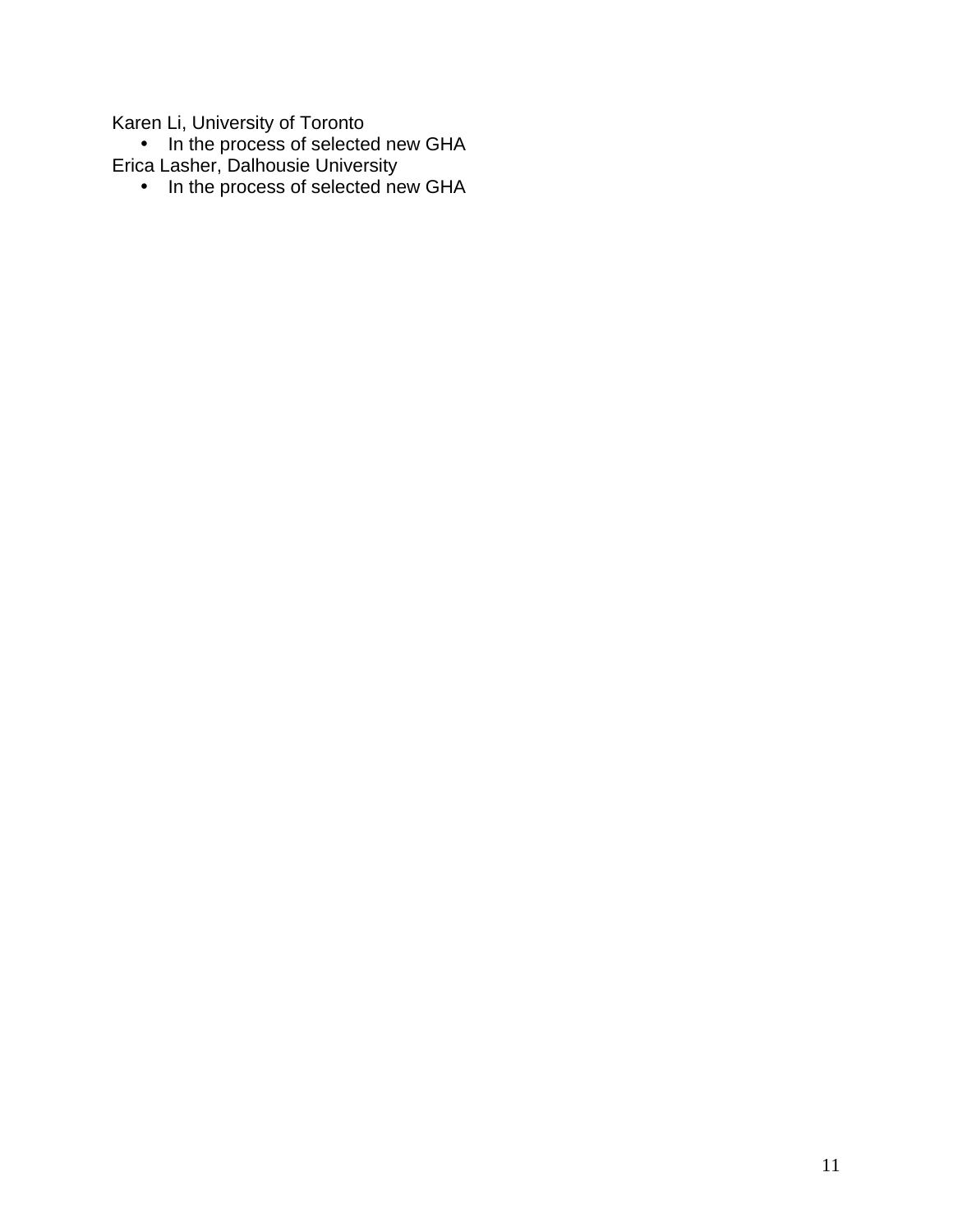Karen Li, University of Toronto

• In the process of selected new GHA Erica Lasher, Dalhousie University

• In the process of selected new GHA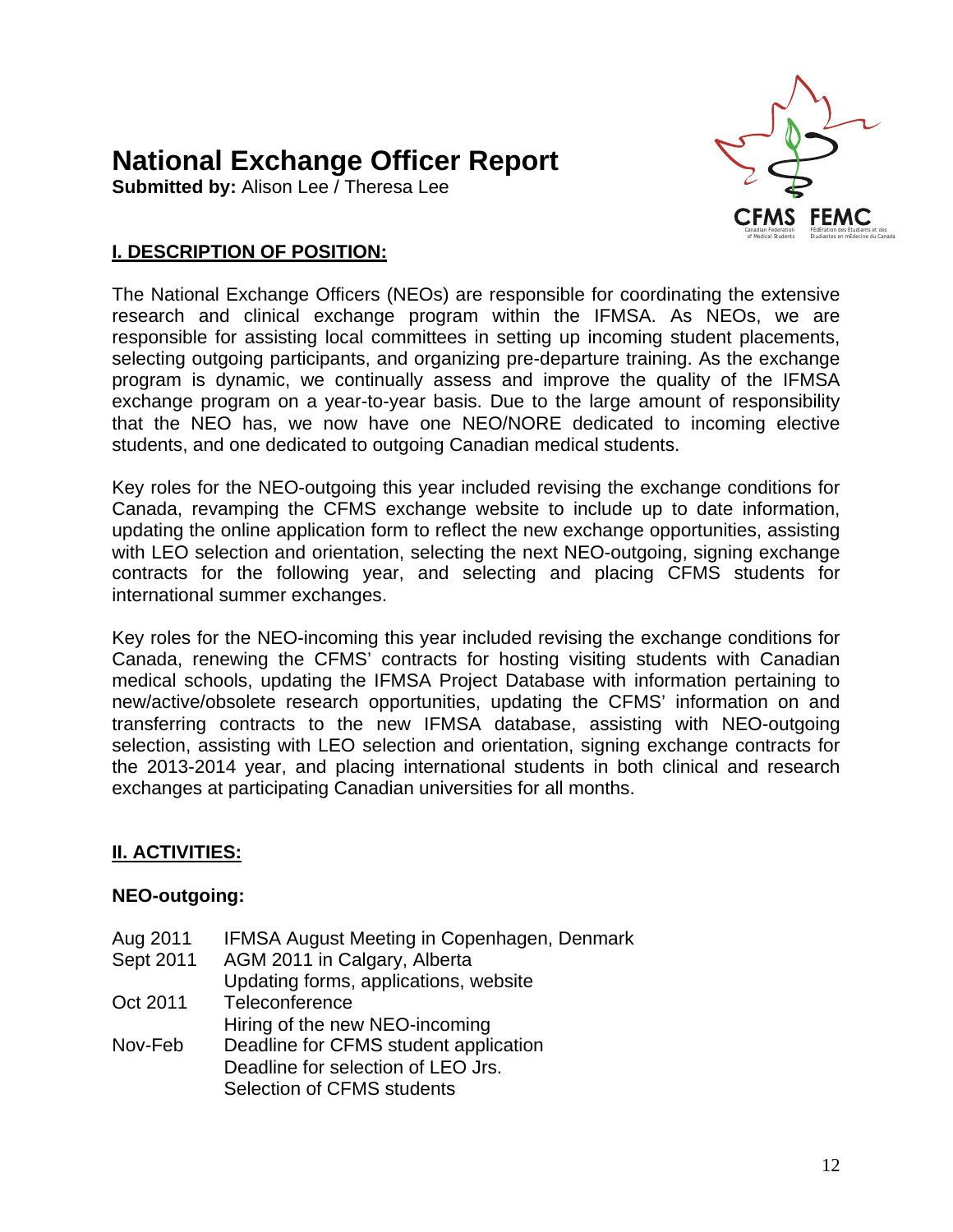# **National Exchange Officer Report**

**Submitted by:** Alison Lee / Theresa Lee



# **I. DESCRIPTION OF POSITION:**

The National Exchange Officers (NEOs) are responsible for coordinating the extensive research and clinical exchange program within the IFMSA. As NEOs, we are responsible for assisting local committees in setting up incoming student placements, selecting outgoing participants, and organizing pre-departure training. As the exchange program is dynamic, we continually assess and improve the quality of the IFMSA exchange program on a year-to-year basis. Due to the large amount of responsibility that the NEO has, we now have one NEO/NORE dedicated to incoming elective students, and one dedicated to outgoing Canadian medical students.

Key roles for the NEO-outgoing this year included revising the exchange conditions for Canada, revamping the CFMS exchange website to include up to date information, updating the online application form to reflect the new exchange opportunities, assisting with LEO selection and orientation, selecting the next NEO-outgoing, signing exchange contracts for the following year, and selecting and placing CFMS students for international summer exchanges.

Key roles for the NEO-incoming this year included revising the exchange conditions for Canada, renewing the CFMS' contracts for hosting visiting students with Canadian medical schools, updating the IFMSA Project Database with information pertaining to new/active/obsolete research opportunities, updating the CFMS' information on and transferring contracts to the new IFMSA database, assisting with NEO-outgoing selection, assisting with LEO selection and orientation, signing exchange contracts for the 2013-2014 year, and placing international students in both clinical and research exchanges at participating Canadian universities for all months.

# **II. ACTIVITIES:**

# **NEO-outgoing:**

- Aug 2011 IFMSA August Meeting in Copenhagen, Denmark
- Sept 2011 AGM 2011 in Calgary, Alberta
- Updating forms, applications, website
- Oct 2011 Teleconference
- Hiring of the new NEO-incoming
- Nov-Feb Deadline for CFMS student application Deadline for selection of LEO Jrs. Selection of CFMS students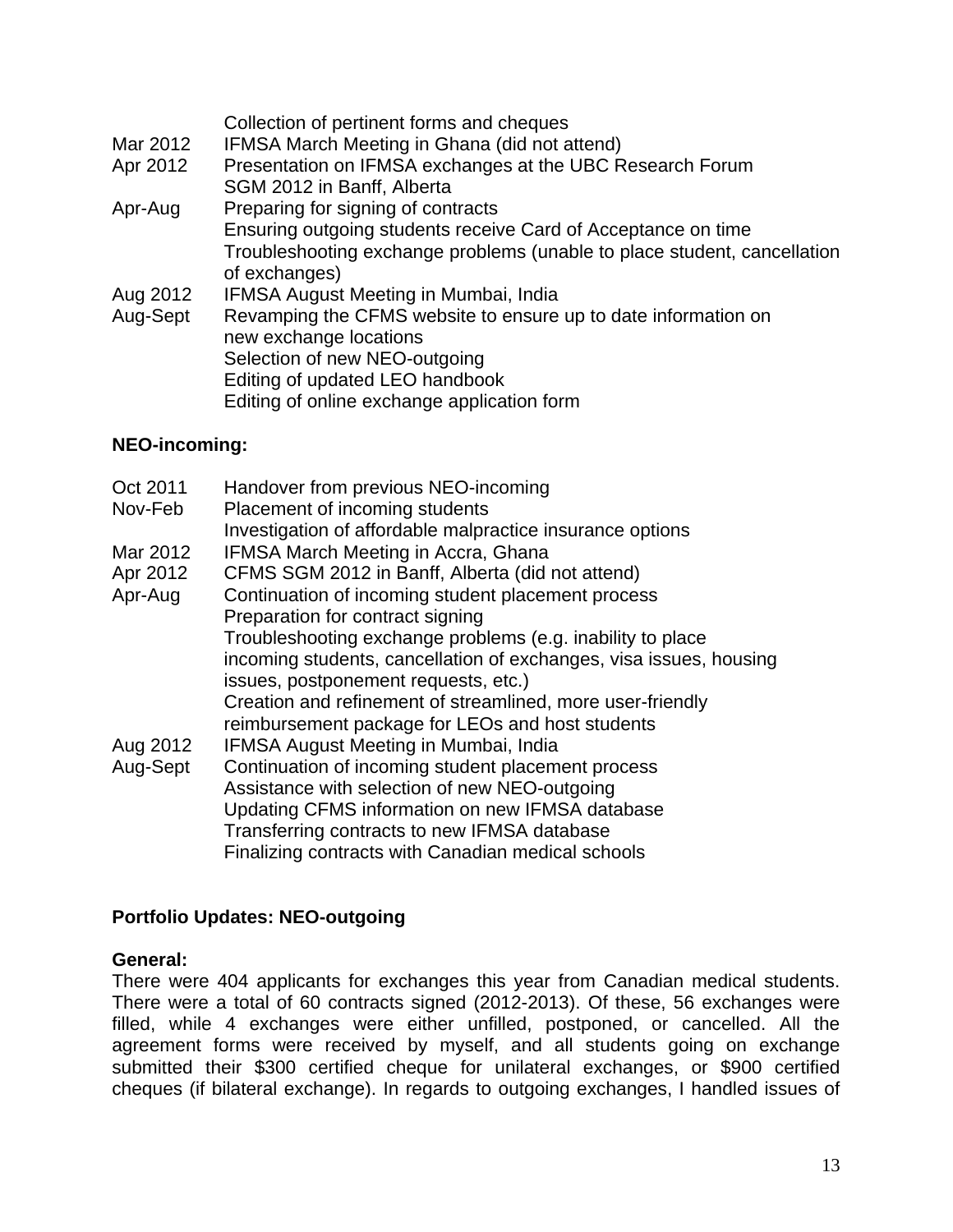|          | Collection of pertinent forms and cheques                                |
|----------|--------------------------------------------------------------------------|
| Mar 2012 | IFMSA March Meeting in Ghana (did not attend)                            |
| Apr 2012 | Presentation on IFMSA exchanges at the UBC Research Forum                |
|          | SGM 2012 in Banff, Alberta                                               |
| Apr-Aug  | Preparing for signing of contracts                                       |
|          | Ensuring outgoing students receive Card of Acceptance on time            |
|          | Troubleshooting exchange problems (unable to place student, cancellation |
|          | of exchanges)                                                            |
| Aug 2012 | <b>IFMSA August Meeting in Mumbai, India</b>                             |
| Aug-Sept | Revamping the CFMS website to ensure up to date information on           |
|          | new exchange locations                                                   |
|          | Selection of new NEO-outgoing                                            |
|          | Editing of updated LEO handbook                                          |
|          | Editing of online exchange application form                              |

# **NEO-incoming:**

Oct 2011 Handover from previous NEO-incoming Nov-Feb Placement of incoming students Investigation of affordable malpractice insurance options Mar 2012 IFMSA March Meeting in Accra, Ghana Apr 2012 CFMS SGM 2012 in Banff, Alberta (did not attend) Apr-Aug Continuation of incoming student placement process Preparation for contract signing Troubleshooting exchange problems (e.g. inability to place incoming students, cancellation of exchanges, visa issues, housing issues, postponement requests, etc.) Creation and refinement of streamlined, more user-friendly reimbursement package for LEOs and host students Aug 2012 IFMSA August Meeting in Mumbai, India Aug-Sept Continuation of incoming student placement process Assistance with selection of new NEO-outgoing Updating CFMS information on new IFMSA database Transferring contracts to new IFMSA database Finalizing contracts with Canadian medical schools

# **Portfolio Updates: NEO-outgoing**

# **General:**

There were 404 applicants for exchanges this year from Canadian medical students. There were a total of 60 contracts signed (2012-2013). Of these, 56 exchanges were filled, while 4 exchanges were either unfilled, postponed, or cancelled. All the agreement forms were received by myself, and all students going on exchange submitted their \$300 certified cheque for unilateral exchanges, or \$900 certified cheques (if bilateral exchange). In regards to outgoing exchanges, I handled issues of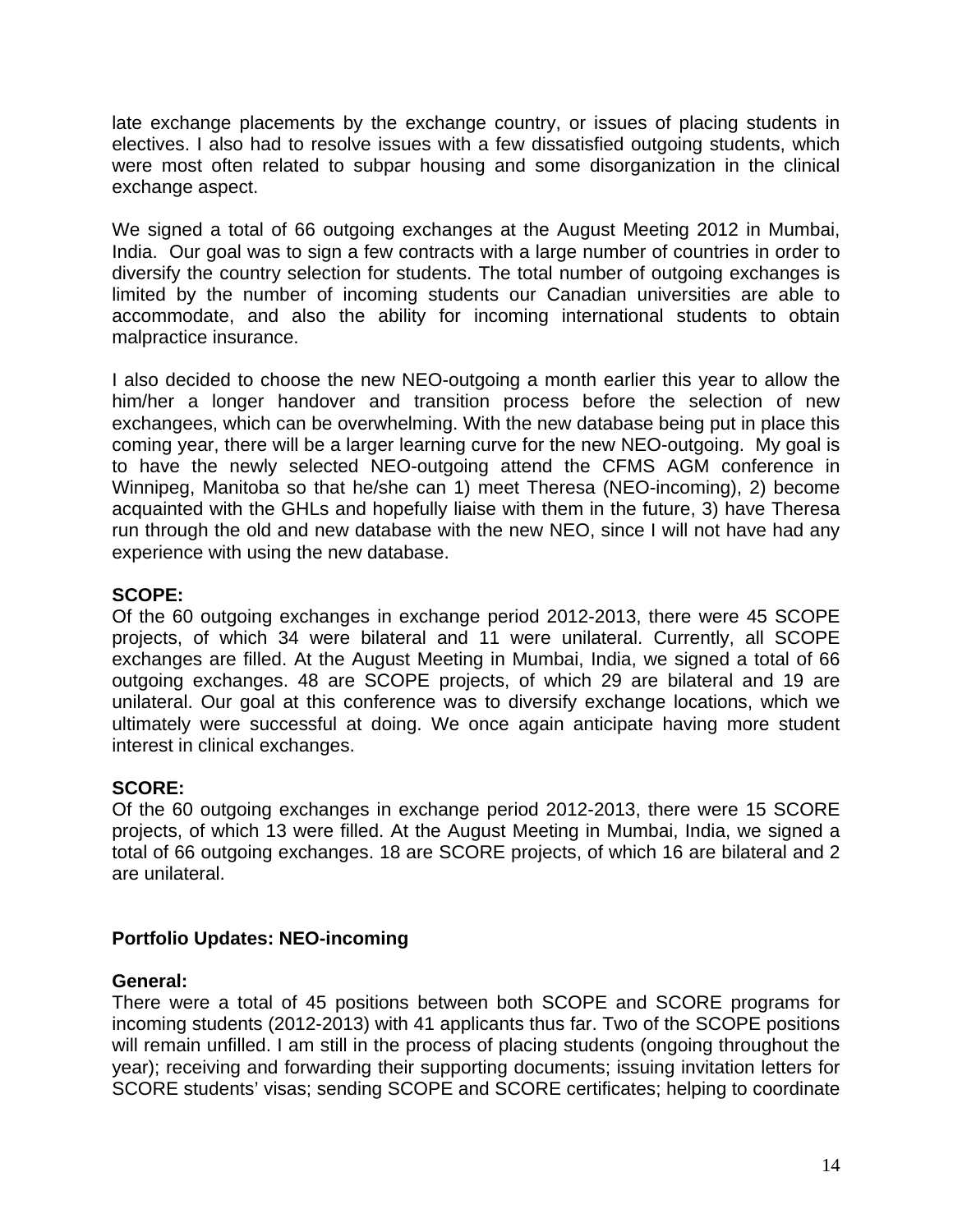late exchange placements by the exchange country, or issues of placing students in electives. I also had to resolve issues with a few dissatisfied outgoing students, which were most often related to subpar housing and some disorganization in the clinical exchange aspect.

We signed a total of 66 outgoing exchanges at the August Meeting 2012 in Mumbai, India. Our goal was to sign a few contracts with a large number of countries in order to diversify the country selection for students. The total number of outgoing exchanges is limited by the number of incoming students our Canadian universities are able to accommodate, and also the ability for incoming international students to obtain malpractice insurance.

I also decided to choose the new NEO-outgoing a month earlier this year to allow the him/her a longer handover and transition process before the selection of new exchangees, which can be overwhelming. With the new database being put in place this coming year, there will be a larger learning curve for the new NEO-outgoing. My goal is to have the newly selected NEO-outgoing attend the CFMS AGM conference in Winnipeg, Manitoba so that he/she can 1) meet Theresa (NEO-incoming), 2) become acquainted with the GHLs and hopefully liaise with them in the future, 3) have Theresa run through the old and new database with the new NEO, since I will not have had any experience with using the new database.

# **SCOPE:**

Of the 60 outgoing exchanges in exchange period 2012-2013, there were 45 SCOPE projects, of which 34 were bilateral and 11 were unilateral. Currently, all SCOPE exchanges are filled. At the August Meeting in Mumbai, India, we signed a total of 66 outgoing exchanges. 48 are SCOPE projects, of which 29 are bilateral and 19 are unilateral. Our goal at this conference was to diversify exchange locations, which we ultimately were successful at doing. We once again anticipate having more student interest in clinical exchanges.

# **SCORE:**

Of the 60 outgoing exchanges in exchange period 2012-2013, there were 15 SCORE projects, of which 13 were filled. At the August Meeting in Mumbai, India, we signed a total of 66 outgoing exchanges. 18 are SCORE projects, of which 16 are bilateral and 2 are unilateral.

# **Portfolio Updates: NEO-incoming**

# **General:**

There were a total of 45 positions between both SCOPE and SCORE programs for incoming students (2012-2013) with 41 applicants thus far. Two of the SCOPE positions will remain unfilled. I am still in the process of placing students (ongoing throughout the year); receiving and forwarding their supporting documents; issuing invitation letters for SCORE students' visas; sending SCOPE and SCORE certificates; helping to coordinate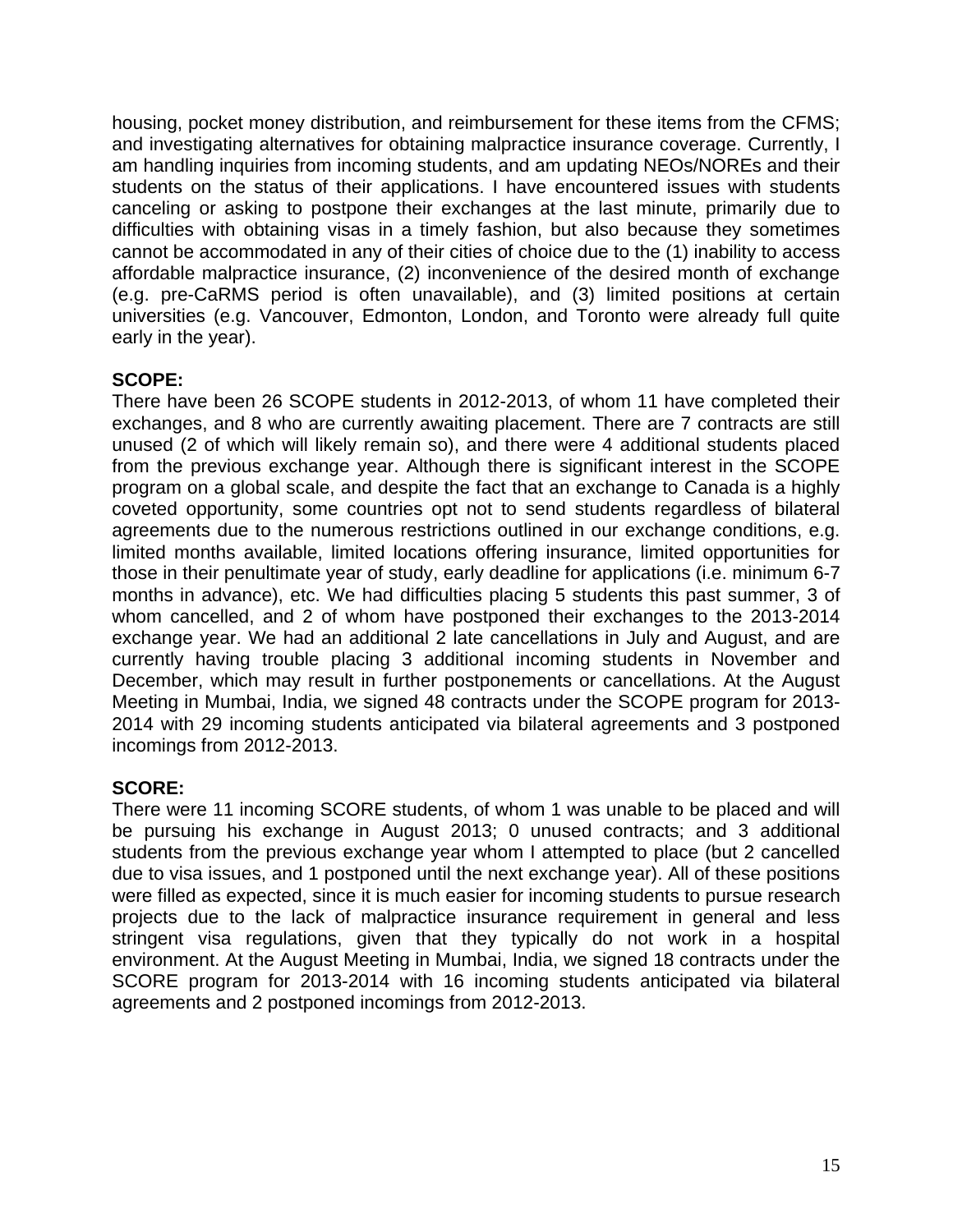housing, pocket money distribution, and reimbursement for these items from the CFMS; and investigating alternatives for obtaining malpractice insurance coverage. Currently, I am handling inquiries from incoming students, and am updating NEOs/NOREs and their students on the status of their applications. I have encountered issues with students canceling or asking to postpone their exchanges at the last minute, primarily due to difficulties with obtaining visas in a timely fashion, but also because they sometimes cannot be accommodated in any of their cities of choice due to the (1) inability to access affordable malpractice insurance, (2) inconvenience of the desired month of exchange (e.g. pre-CaRMS period is often unavailable), and (3) limited positions at certain universities (e.g. Vancouver, Edmonton, London, and Toronto were already full quite early in the year).

# **SCOPE:**

There have been 26 SCOPE students in 2012-2013, of whom 11 have completed their exchanges, and 8 who are currently awaiting placement. There are 7 contracts are still unused (2 of which will likely remain so), and there were 4 additional students placed from the previous exchange year. Although there is significant interest in the SCOPE program on a global scale, and despite the fact that an exchange to Canada is a highly coveted opportunity, some countries opt not to send students regardless of bilateral agreements due to the numerous restrictions outlined in our exchange conditions, e.g. limited months available, limited locations offering insurance, limited opportunities for those in their penultimate year of study, early deadline for applications (i.e. minimum 6-7 months in advance), etc. We had difficulties placing 5 students this past summer, 3 of whom cancelled, and 2 of whom have postponed their exchanges to the 2013-2014 exchange year. We had an additional 2 late cancellations in July and August, and are currently having trouble placing 3 additional incoming students in November and December, which may result in further postponements or cancellations. At the August Meeting in Mumbai, India, we signed 48 contracts under the SCOPE program for 2013- 2014 with 29 incoming students anticipated via bilateral agreements and 3 postponed incomings from 2012-2013.

# **SCORE:**

There were 11 incoming SCORE students, of whom 1 was unable to be placed and will be pursuing his exchange in August 2013; 0 unused contracts; and 3 additional students from the previous exchange year whom I attempted to place (but 2 cancelled due to visa issues, and 1 postponed until the next exchange year). All of these positions were filled as expected, since it is much easier for incoming students to pursue research projects due to the lack of malpractice insurance requirement in general and less stringent visa regulations, given that they typically do not work in a hospital environment. At the August Meeting in Mumbai, India, we signed 18 contracts under the SCORE program for 2013-2014 with 16 incoming students anticipated via bilateral agreements and 2 postponed incomings from 2012-2013.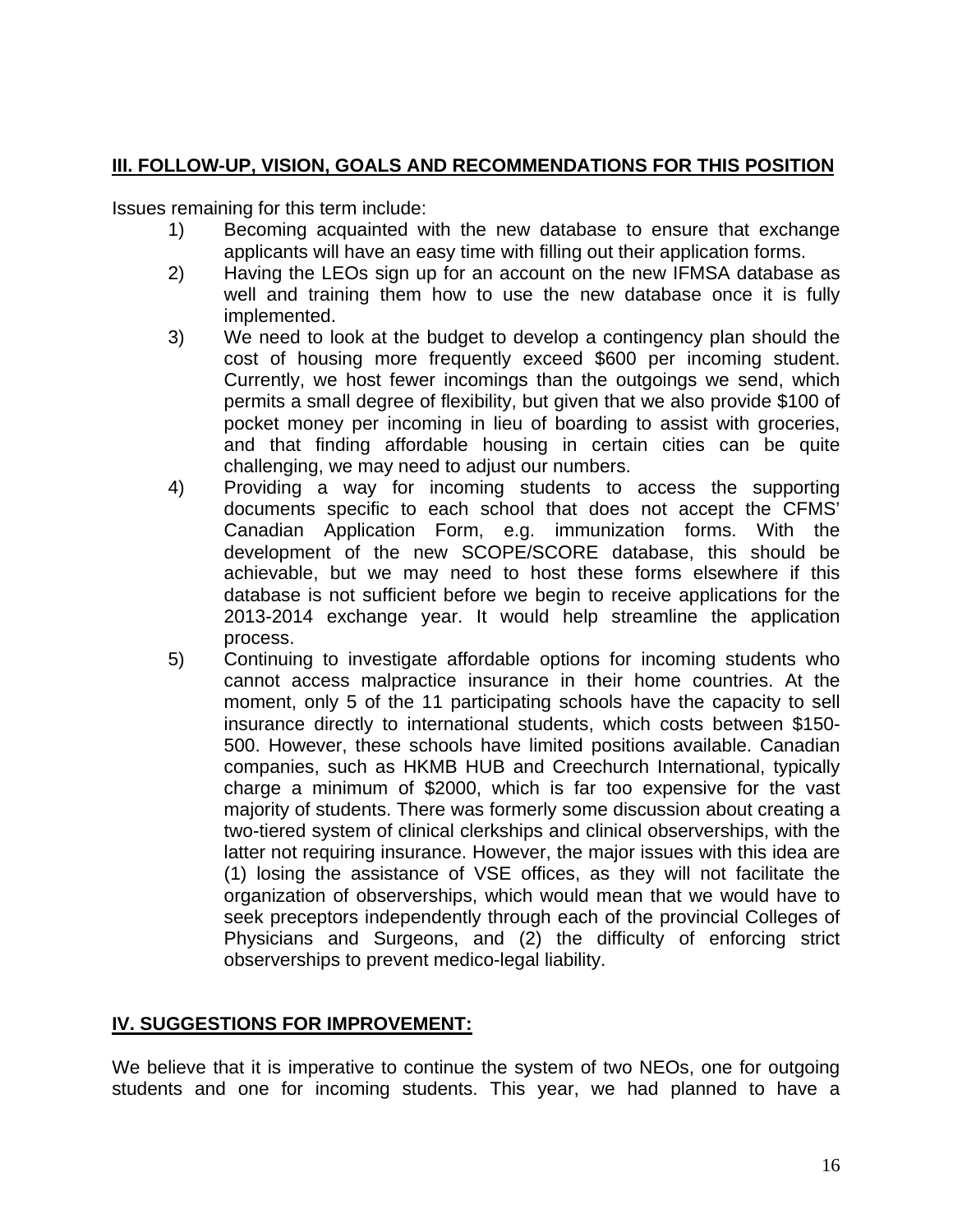# **III. FOLLOW-UP, VISION, GOALS AND RECOMMENDATIONS FOR THIS POSITION**

Issues remaining for this term include:

- 1) Becoming acquainted with the new database to ensure that exchange applicants will have an easy time with filling out their application forms.
- 2) Having the LEOs sign up for an account on the new IFMSA database as well and training them how to use the new database once it is fully implemented.
- 3) We need to look at the budget to develop a contingency plan should the cost of housing more frequently exceed \$600 per incoming student. Currently, we host fewer incomings than the outgoings we send, which permits a small degree of flexibility, but given that we also provide \$100 of pocket money per incoming in lieu of boarding to assist with groceries, and that finding affordable housing in certain cities can be quite challenging, we may need to adjust our numbers.
- 4) Providing a way for incoming students to access the supporting documents specific to each school that does not accept the CFMS' Canadian Application Form, e.g. immunization forms. With the development of the new SCOPE/SCORE database, this should be achievable, but we may need to host these forms elsewhere if this database is not sufficient before we begin to receive applications for the 2013-2014 exchange year. It would help streamline the application process.
- 5) Continuing to investigate affordable options for incoming students who cannot access malpractice insurance in their home countries. At the moment, only 5 of the 11 participating schools have the capacity to sell insurance directly to international students, which costs between \$150- 500. However, these schools have limited positions available. Canadian companies, such as HKMB HUB and Creechurch International, typically charge a minimum of \$2000, which is far too expensive for the vast majority of students. There was formerly some discussion about creating a two-tiered system of clinical clerkships and clinical observerships, with the latter not requiring insurance. However, the major issues with this idea are (1) losing the assistance of VSE offices, as they will not facilitate the organization of observerships, which would mean that we would have to seek preceptors independently through each of the provincial Colleges of Physicians and Surgeons, and (2) the difficulty of enforcing strict observerships to prevent medico-legal liability.

# **IV. SUGGESTIONS FOR IMPROVEMENT:**

We believe that it is imperative to continue the system of two NEOs, one for outgoing students and one for incoming students. This year, we had planned to have a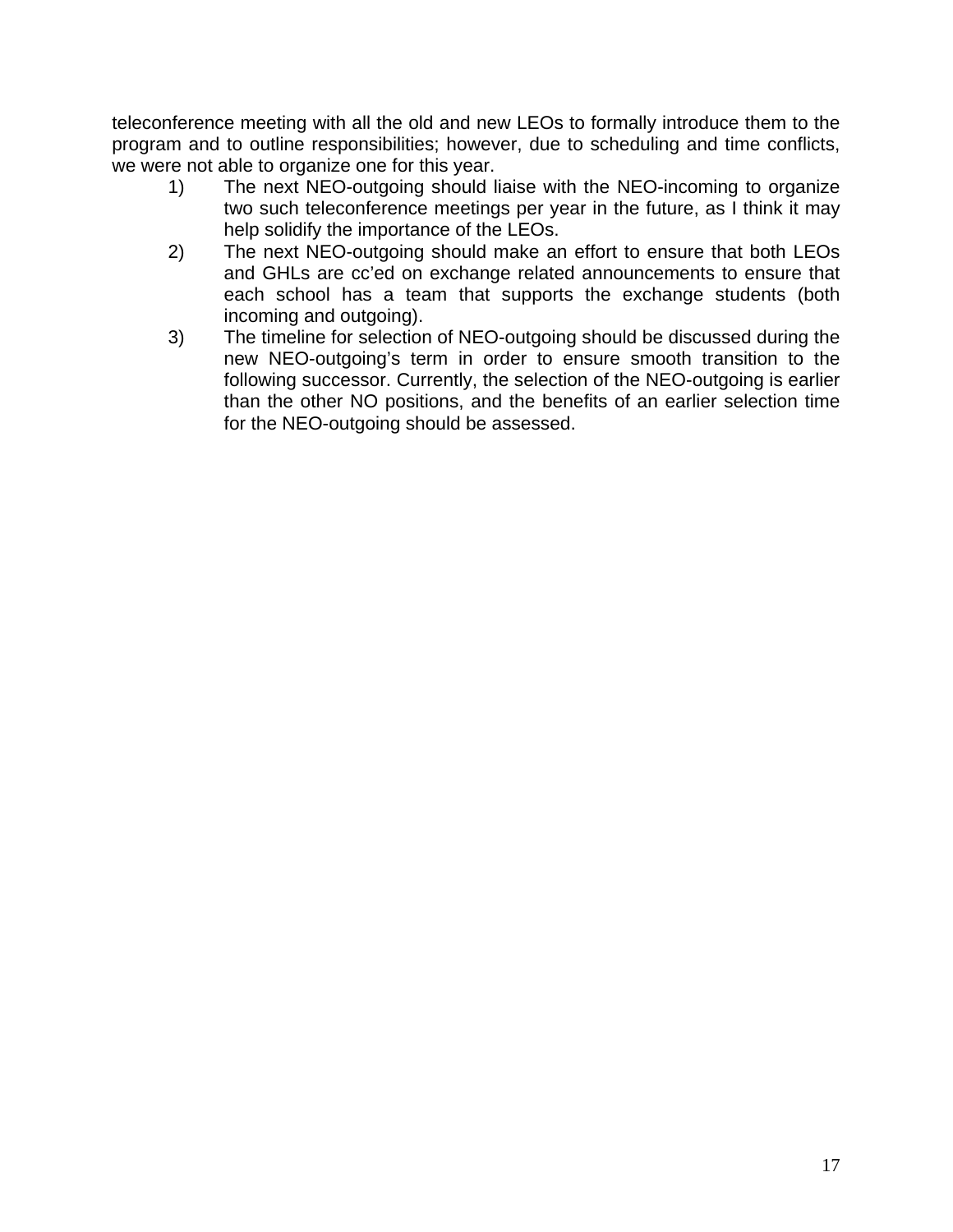teleconference meeting with all the old and new LEOs to formally introduce them to the program and to outline responsibilities; however, due to scheduling and time conflicts, we were not able to organize one for this year.

- 1) The next NEO-outgoing should liaise with the NEO-incoming to organize two such teleconference meetings per year in the future, as I think it may help solidify the importance of the LEOs.
- 2) The next NEO-outgoing should make an effort to ensure that both LEOs and GHLs are cc'ed on exchange related announcements to ensure that each school has a team that supports the exchange students (both incoming and outgoing).
- 3) The timeline for selection of NEO-outgoing should be discussed during the new NEO-outgoing's term in order to ensure smooth transition to the following successor. Currently, the selection of the NEO-outgoing is earlier than the other NO positions, and the benefits of an earlier selection time for the NEO-outgoing should be assessed.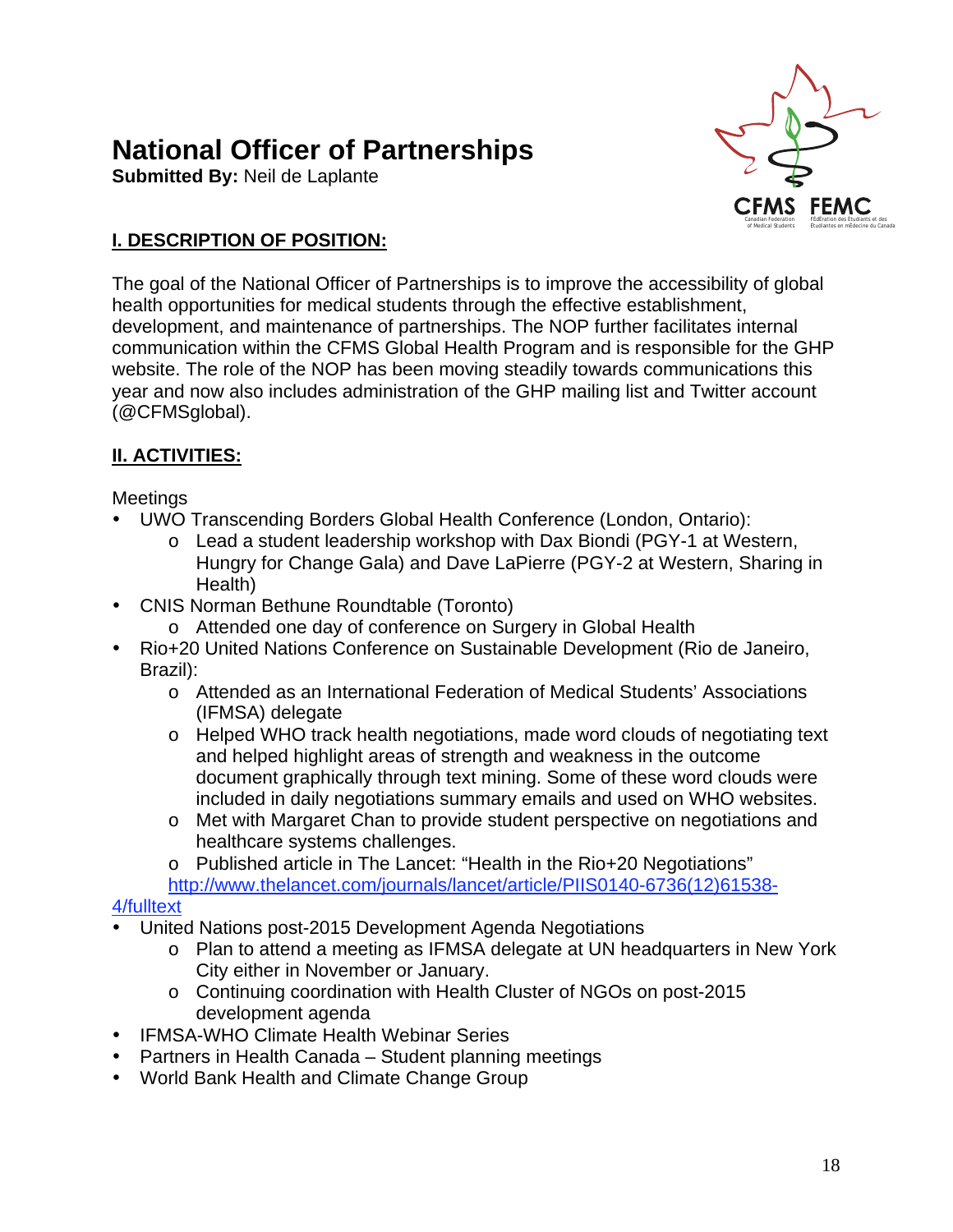# **National Officer of Partnerships**

**Submitted By:** Neil de Laplante



# **I. DESCRIPTION OF POSITION:**

The goal of the National Officer of Partnerships is to improve the accessibility of global health opportunities for medical students through the effective establishment, development, and maintenance of partnerships. The NOP further facilitates internal communication within the CFMS Global Health Program and is responsible for the GHP website. The role of the NOP has been moving steadily towards communications this year and now also includes administration of the GHP mailing list and Twitter account (@CFMSglobal).

# **II. ACTIVITIES:**

# Meetings

- UWO Transcending Borders Global Health Conference (London, Ontario):
	- o Lead a student leadership workshop with Dax Biondi (PGY-1 at Western, Hungry for Change Gala) and Dave LaPierre (PGY-2 at Western, Sharing in Health)
- CNIS Norman Bethune Roundtable (Toronto)
	- o Attended one day of conference on Surgery in Global Health
- Rio+20 United Nations Conference on Sustainable Development (Rio de Janeiro, Brazil):
	- o Attended as an International Federation of Medical Students' Associations (IFMSA) delegate
	- o Helped WHO track health negotiations, made word clouds of negotiating text and helped highlight areas of strength and weakness in the outcome document graphically through text mining. Some of these word clouds were included in daily negotiations summary emails and used on WHO websites.
	- o Met with Margaret Chan to provide student perspective on negotiations and healthcare systems challenges.
	- o Published article in The Lancet: "Health in the Rio+20 Negotiations" http://www.thelancet.com/journals/lancet/article/PIIS0140-6736(12)61538-

# 4/fulltext

- United Nations post-2015 Development Agenda Negotiations
	- o Plan to attend a meeting as IFMSA delegate at UN headquarters in New York City either in November or January.
	- o Continuing coordination with Health Cluster of NGOs on post-2015 development agenda
- IFMSA-WHO Climate Health Webinar Series
- Partners in Health Canada Student planning meetings
- World Bank Health and Climate Change Group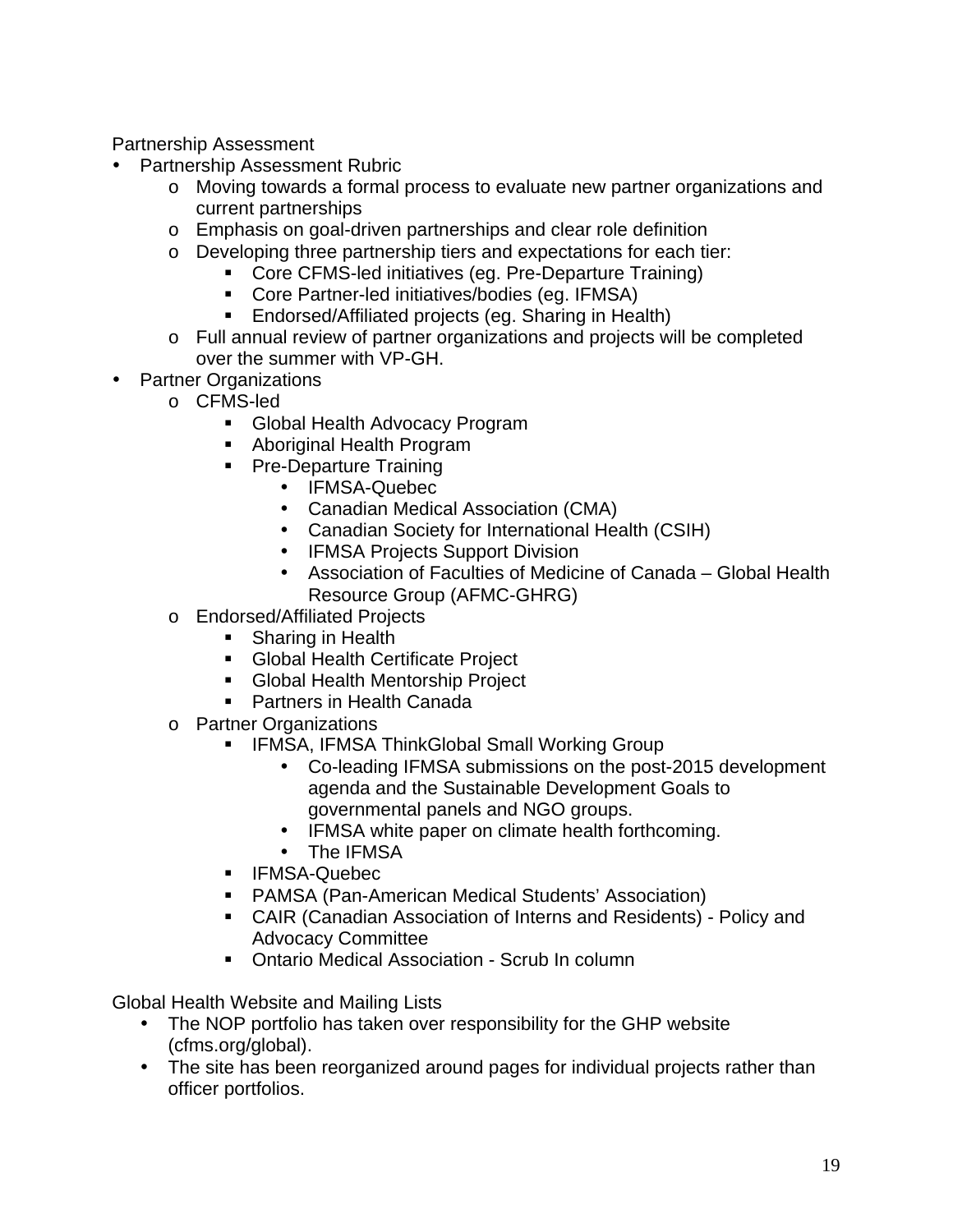Partnership Assessment

- Partnership Assessment Rubric
	- o Moving towards a formal process to evaluate new partner organizations and current partnerships
	- o Emphasis on goal-driven partnerships and clear role definition
	- o Developing three partnership tiers and expectations for each tier:
		- **Core CFMS-led initiatives (eg. Pre-Departure Training)**
		- Core Partner-led initiatives/bodies (eg. IFMSA)
		- **Endorsed/Affiliated projects (eg. Sharing in Health)**
	- o Full annual review of partner organizations and projects will be completed over the summer with VP-GH.
- Partner Organizations
	- o CFMS-led
		- Global Health Advocacy Program
		- Aboriginal Health Program
		- **Pre-Departure Training** 
			- IFMSA-Quebec
			- Canadian Medical Association (CMA)
			- Canadian Society for International Health (CSIH)
			- IFMSA Projects Support Division
			- Association of Faculties of Medicine of Canada Global Health Resource Group (AFMC-GHRG)
	- o Endorsed/Affiliated Projects
		- Sharing in Health
		- **Global Health Certificate Project**
		- **Global Health Mentorship Project**
		- **Partners in Health Canada**
	- o Partner Organizations
		- **F** IFMSA, IFMSA ThinkGlobal Small Working Group
			- Co-leading IFMSA submissions on the post-2015 development agenda and the Sustainable Development Goals to governmental panels and NGO groups.
			- IFMSA white paper on climate health forthcoming.
			- The IFMSA
		- **IFMSA-Quebec**
		- PAMSA (Pan-American Medical Students' Association)
		- CAIR (Canadian Association of Interns and Residents) Policy and Advocacy Committee
		- **Ontario Medical Association Scrub In column**

Global Health Website and Mailing Lists

- The NOP portfolio has taken over responsibility for the GHP website (cfms.org/global).
- The site has been reorganized around pages for individual projects rather than officer portfolios.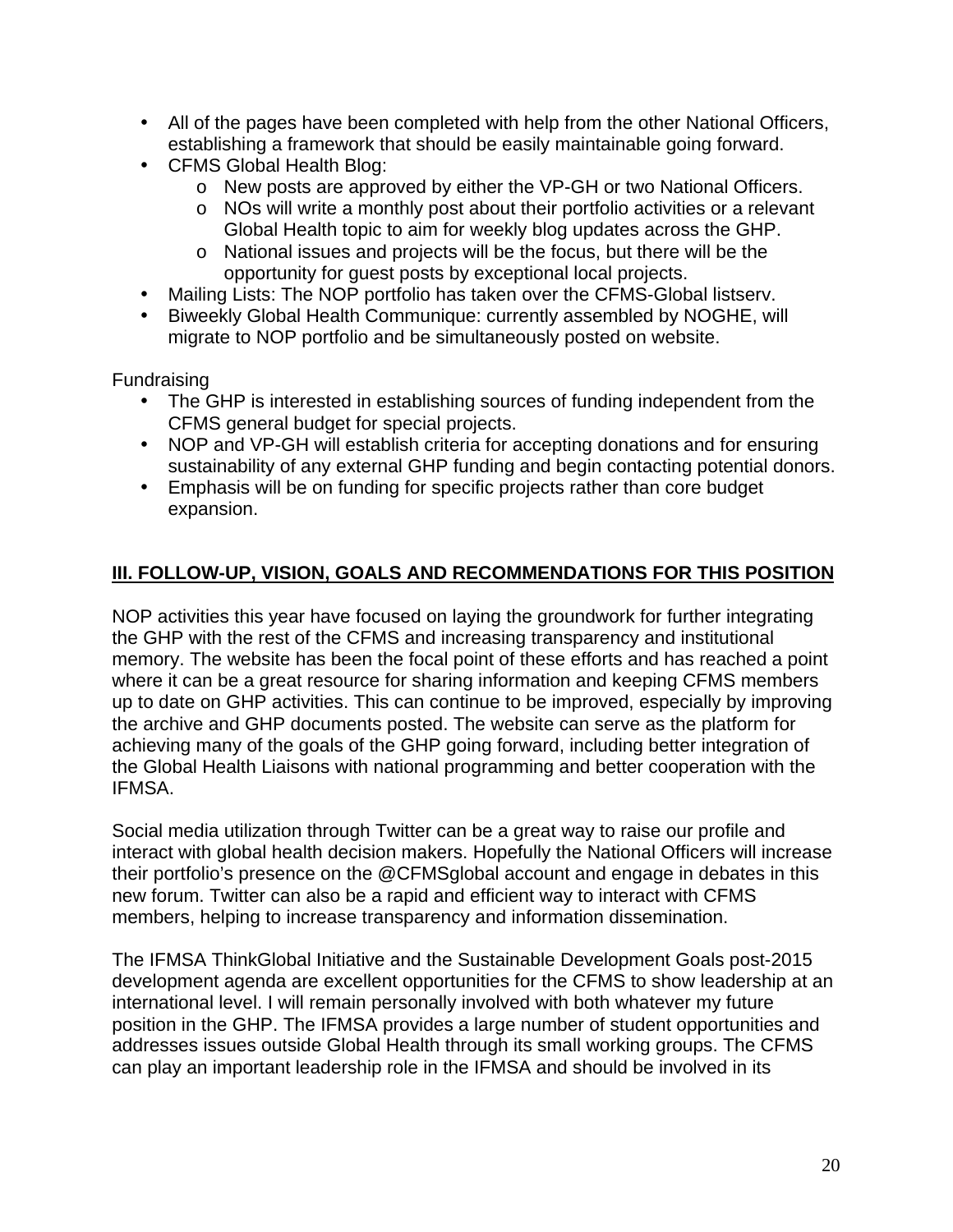- All of the pages have been completed with help from the other National Officers, establishing a framework that should be easily maintainable going forward.
- CFMS Global Health Blog:
	- o New posts are approved by either the VP-GH or two National Officers.
	- o NOs will write a monthly post about their portfolio activities or a relevant Global Health topic to aim for weekly blog updates across the GHP.
	- o National issues and projects will be the focus, but there will be the opportunity for guest posts by exceptional local projects.
- Mailing Lists: The NOP portfolio has taken over the CFMS-Global listserv.
- Biweekly Global Health Communique: currently assembled by NOGHE, will migrate to NOP portfolio and be simultaneously posted on website.

Fundraising

- The GHP is interested in establishing sources of funding independent from the CFMS general budget for special projects.
- NOP and VP-GH will establish criteria for accepting donations and for ensuring sustainability of any external GHP funding and begin contacting potential donors.
- Emphasis will be on funding for specific projects rather than core budget expansion.

# **III. FOLLOW-UP, VISION, GOALS AND RECOMMENDATIONS FOR THIS POSITION**

NOP activities this year have focused on laying the groundwork for further integrating the GHP with the rest of the CFMS and increasing transparency and institutional memory. The website has been the focal point of these efforts and has reached a point where it can be a great resource for sharing information and keeping CFMS members up to date on GHP activities. This can continue to be improved, especially by improving the archive and GHP documents posted. The website can serve as the platform for achieving many of the goals of the GHP going forward, including better integration of the Global Health Liaisons with national programming and better cooperation with the IFMSA.

Social media utilization through Twitter can be a great way to raise our profile and interact with global health decision makers. Hopefully the National Officers will increase their portfolio's presence on the @CFMSglobal account and engage in debates in this new forum. Twitter can also be a rapid and efficient way to interact with CFMS members, helping to increase transparency and information dissemination.

The IFMSA ThinkGlobal Initiative and the Sustainable Development Goals post-2015 development agenda are excellent opportunities for the CFMS to show leadership at an international level. I will remain personally involved with both whatever my future position in the GHP. The IFMSA provides a large number of student opportunities and addresses issues outside Global Health through its small working groups. The CFMS can play an important leadership role in the IFMSA and should be involved in its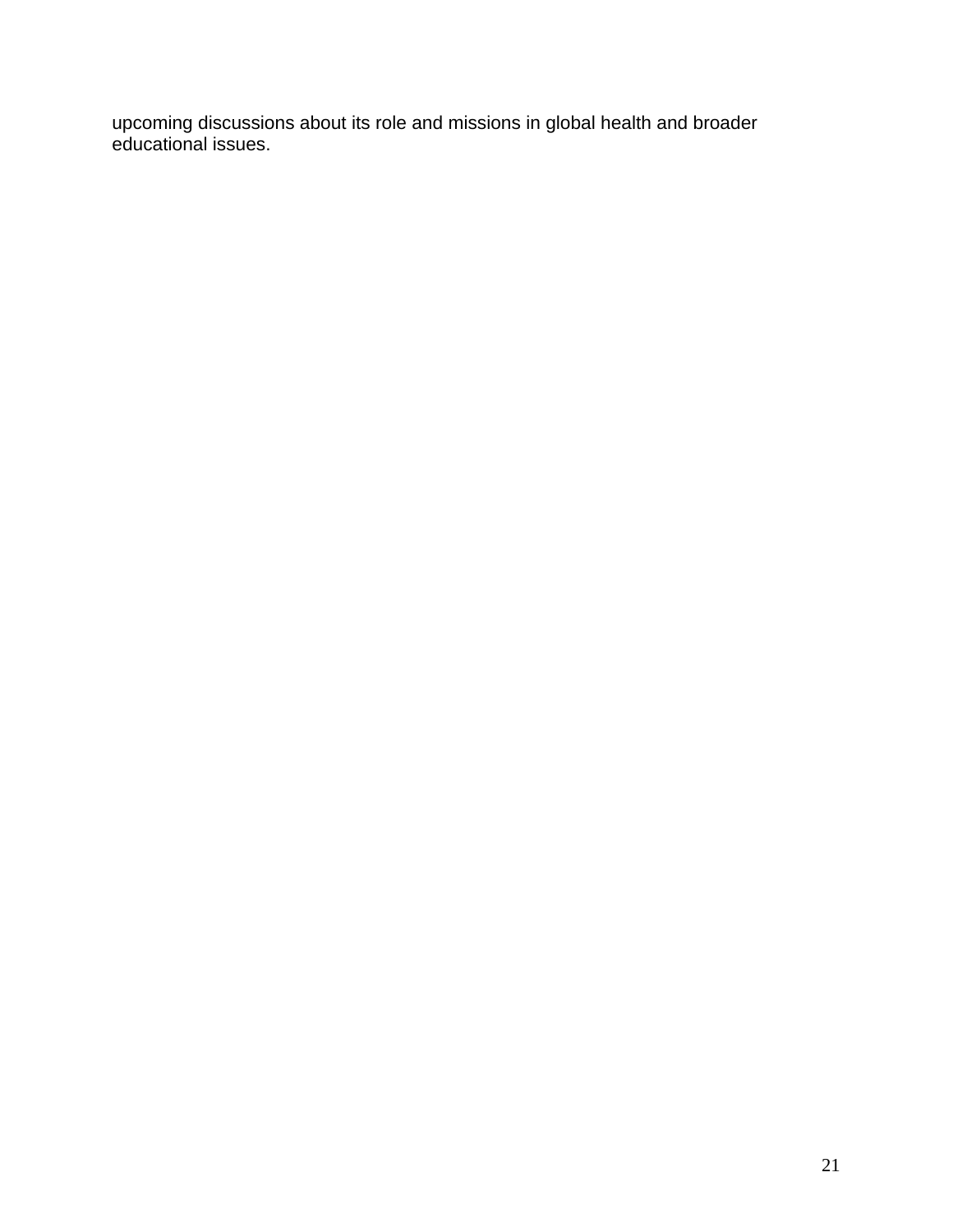upcoming discussions about its role and missions in global health and broader educational issues.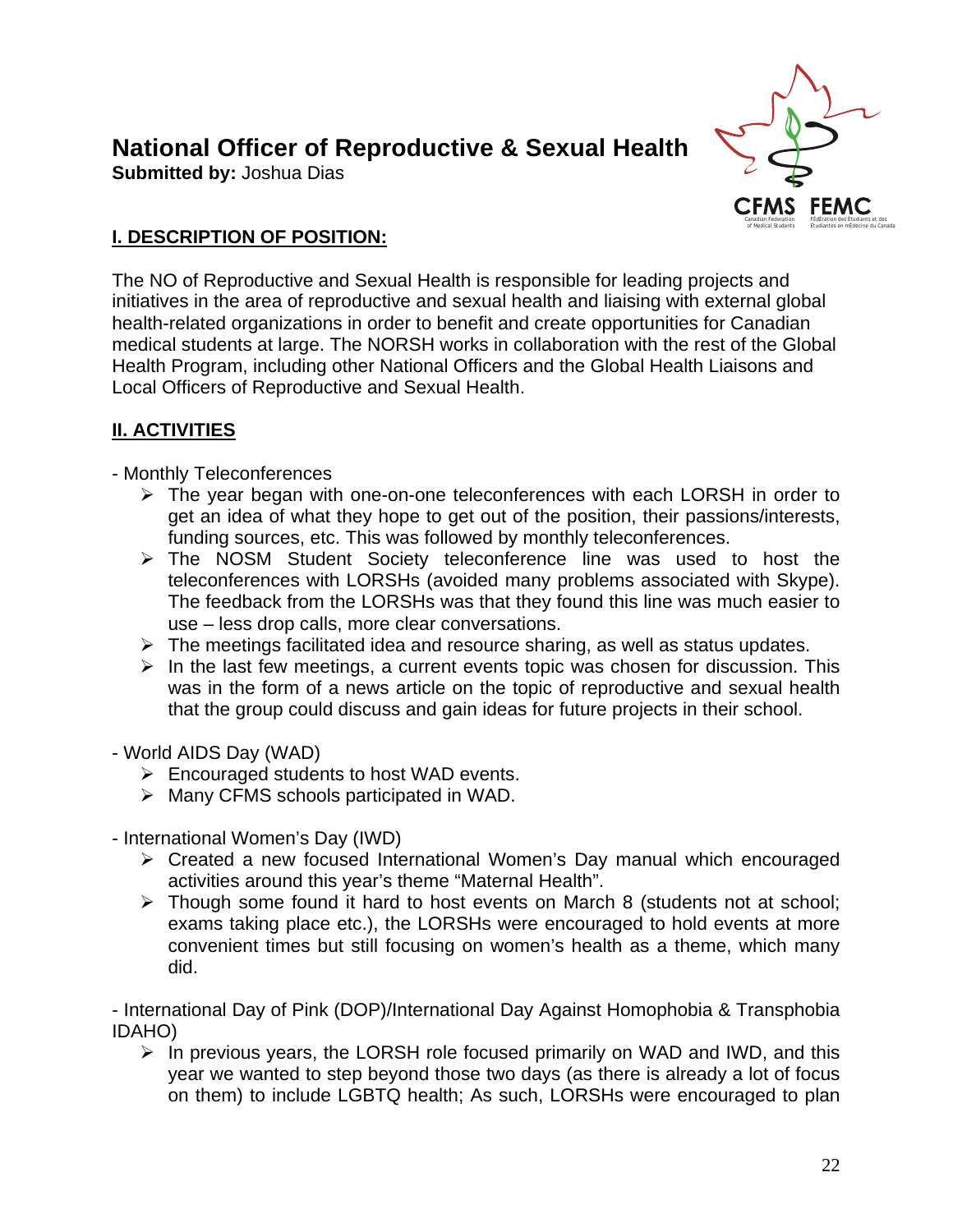# **National Officer of Reproductive & Sexual Health**

**Submitted by:** Joshua Dias



# **I. DESCRIPTION OF POSITION:**

The NO of Reproductive and Sexual Health is responsible for leading projects and initiatives in the area of reproductive and sexual health and liaising with external global health-related organizations in order to benefit and create opportunities for Canadian medical students at large. The NORSH works in collaboration with the rest of the Global Health Program, including other National Officers and the Global Health Liaisons and Local Officers of Reproductive and Sexual Health.

# **II. ACTIVITIES**

- Monthly Teleconferences

- > The year began with one-on-one teleconferences with each LORSH in order to get an idea of what they hope to get out of the position, their passions/interests, funding sources, etc. This was followed by monthly teleconferences.
- > The NOSM Student Society teleconference line was used to host the teleconferences with LORSHs (avoided many problems associated with Skype). The feedback from the LORSHs was that they found this line was much easier to use – less drop calls, more clear conversations.
- > The meetings facilitated idea and resource sharing, as well as status updates.
- $\triangleright$  In the last few meetings, a current events topic was chosen for discussion. This was in the form of a news article on the topic of reproductive and sexual health that the group could discuss and gain ideas for future projects in their school.
- World AIDS Day (WAD)
	- **►** Encouraged students to host WAD events.
	- > Many CFMS schools participated in WAD.
- International Women's Day (IWD)
	- > Created a new focused International Women's Day manual which encouraged activities around this year's theme "Maternal Health".
	- > Though some found it hard to host events on March 8 (students not at school; exams taking place etc.), the LORSHs were encouraged to hold events at more convenient times but still focusing on women's health as a theme, which many did.

- International Day of Pink (DOP)/International Day Against Homophobia & Transphobia IDAHO)

- In previous years, the LORSH role focused primarily on WAD and IWD, and this year we wanted to step beyond those two days (as there is already a lot of focus on them) to include LGBTQ health; As such, LORSHs were encouraged to plan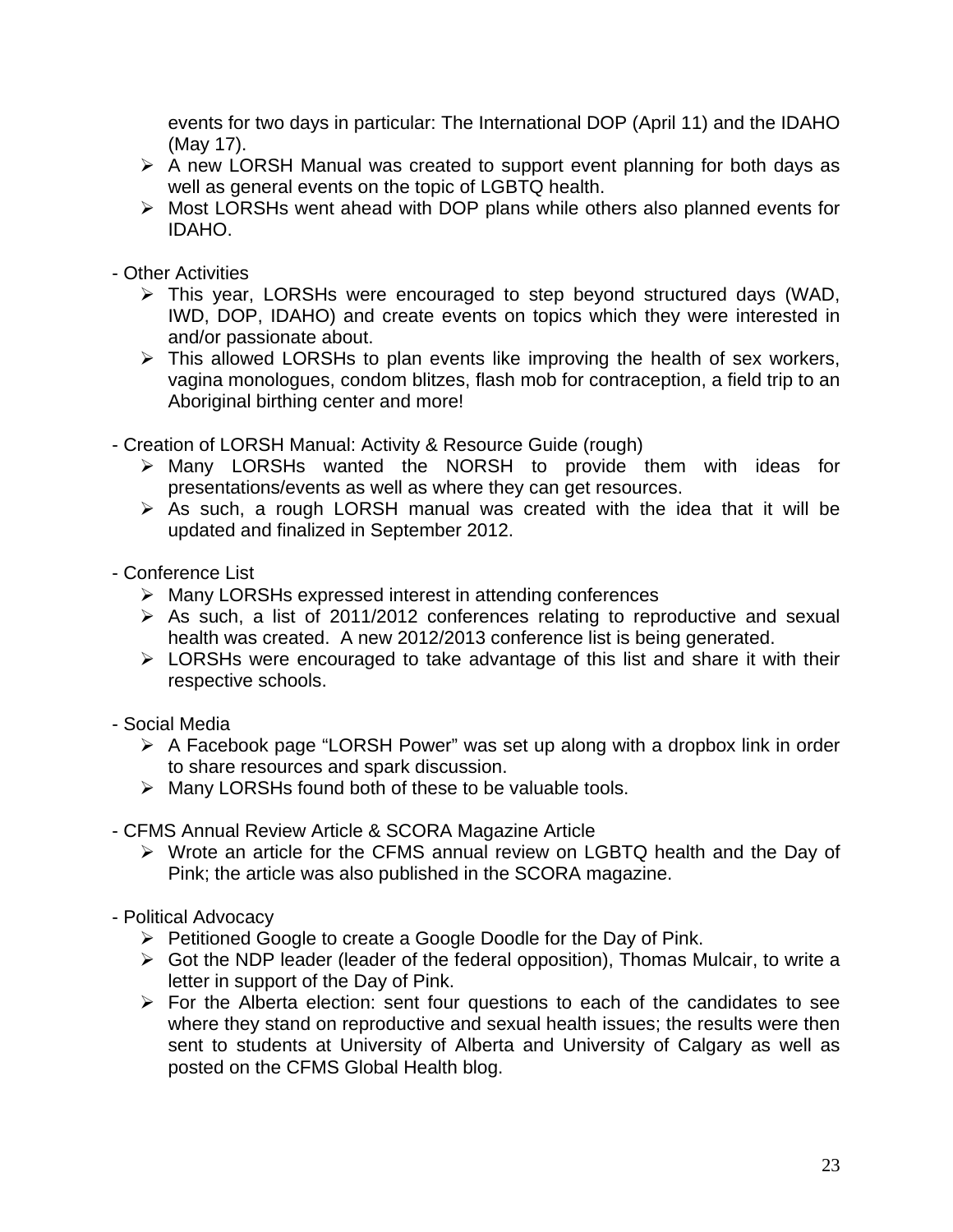events for two days in particular: The International DOP (April 11) and the IDAHO (May 17).

- $\triangleright$  A new LORSH Manual was created to support event planning for both days as well as general events on the topic of LGBTQ health.
- > Most LORSHs went ahead with DOP plans while others also planned events for IDAHO.
- Other Activities
	- > This year, LORSHs were encouraged to step beyond structured days (WAD, IWD, DOP, IDAHO) and create events on topics which they were interested in and/or passionate about.
	- $\triangleright$  This allowed LORSHs to plan events like improving the health of sex workers, vagina monologues, condom blitzes, flash mob for contraception, a field trip to an Aboriginal birthing center and more!
- Creation of LORSH Manual: Activity & Resource Guide (rough)
	- > Many LORSHs wanted the NORSH to provide them with ideas for presentations/events as well as where they can get resources.
	- $\triangleright$  As such, a rough LORSH manual was created with the idea that it will be updated and finalized in September 2012.
- Conference List
	- > Many LORSHs expressed interest in attending conferences
	- $\triangleright$  As such, a list of 2011/2012 conferences relating to reproductive and sexual health was created. A new 2012/2013 conference list is being generated.
	- > LORSHs were encouraged to take advantage of this list and share it with their respective schools.
- Social Media
	- A Facebook page "LORSH Power" was set up along with a dropbox link in order to share resources and spark discussion.
	- > Many LORSHs found both of these to be valuable tools.
- CFMS Annual Review Article & SCORA Magazine Article
	- > Wrote an article for the CFMS annual review on LGBTQ health and the Day of Pink; the article was also published in the SCORA magazine.
- Political Advocacy
	- ▶ Petitioned Google to create a Google Doodle for the Day of Pink.
	- > Got the NDP leader (leader of the federal opposition), Thomas Mulcair, to write a letter in support of the Day of Pink.
	- $\triangleright$  For the Alberta election: sent four questions to each of the candidates to see where they stand on reproductive and sexual health issues; the results were then sent to students at University of Alberta and University of Calgary as well as posted on the CFMS Global Health blog.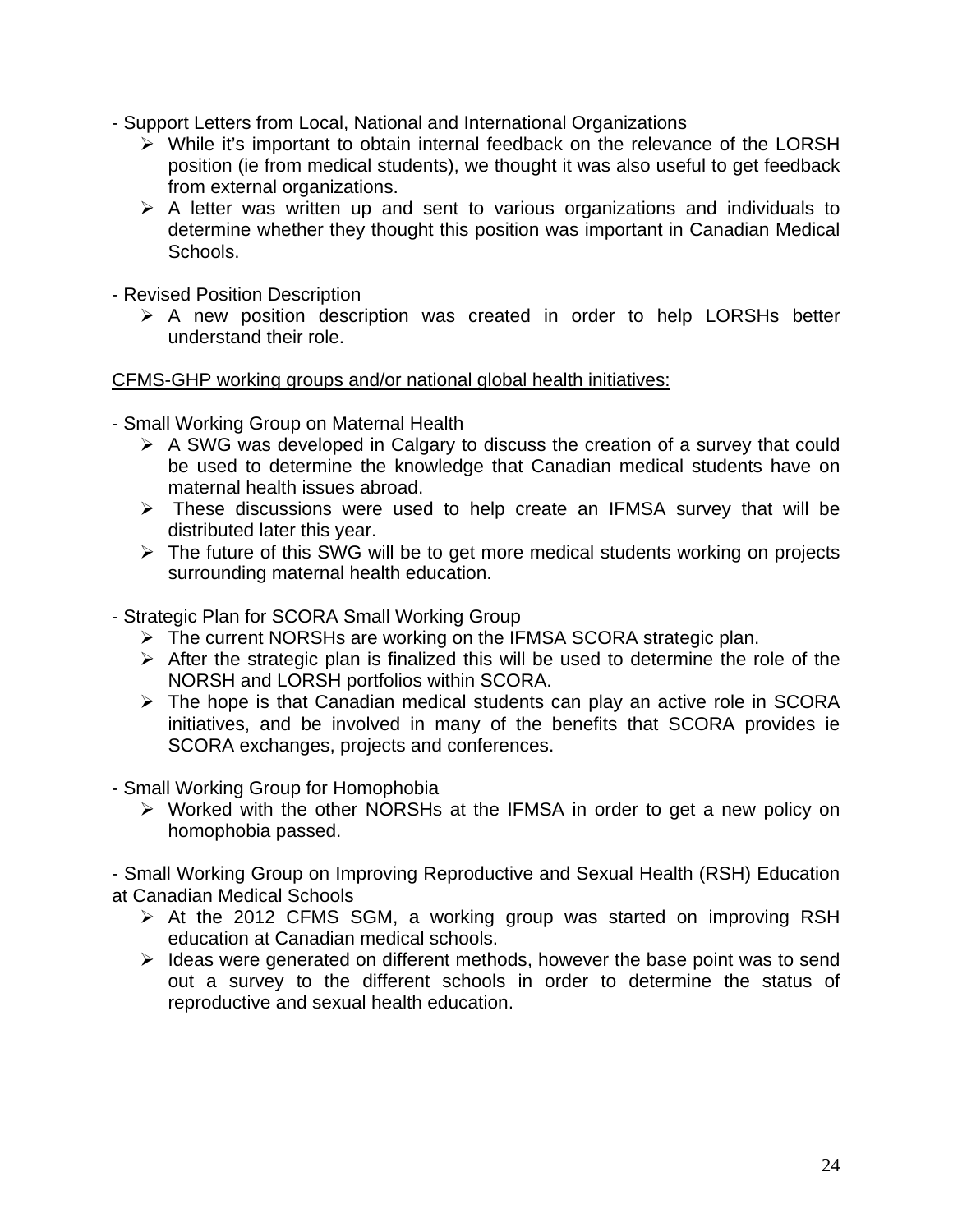- Support Letters from Local, National and International Organizations
	- > While it's important to obtain internal feedback on the relevance of the LORSH position (ie from medical students), we thought it was also useful to get feedback from external organizations.
	- $\triangleright$  A letter was written up and sent to various organizations and individuals to determine whether they thought this position was important in Canadian Medical Schools.
- Revised Position Description
	- $\triangleright$  A new position description was created in order to help LORSHs better understand their role.

CFMS-GHP working groups and/or national global health initiatives:

- Small Working Group on Maternal Health
	- $\triangleright$  A SWG was developed in Calgary to discuss the creation of a survey that could be used to determine the knowledge that Canadian medical students have on maternal health issues abroad.
	- > These discussions were used to help create an IFMSA survey that will be distributed later this year.
	- > The future of this SWG will be to get more medical students working on projects surrounding maternal health education.
- Strategic Plan for SCORA Small Working Group
	- > The current NORSHs are working on the IFMSA SCORA strategic plan.
	- $\triangleright$  After the strategic plan is finalized this will be used to determine the role of the NORSH and LORSH portfolios within SCORA.
	- > The hope is that Canadian medical students can play an active role in SCORA initiatives, and be involved in many of the benefits that SCORA provides ie SCORA exchanges, projects and conferences.
- Small Working Group for Homophobia
	- > Worked with the other NORSHs at the IFMSA in order to get a new policy on homophobia passed.

- Small Working Group on Improving Reproductive and Sexual Health (RSH) Education at Canadian Medical Schools

- > At the 2012 CFMS SGM, a working group was started on improving RSH education at Canadian medical schools.
- $\triangleright$  Ideas were generated on different methods, however the base point was to send out a survey to the different schools in order to determine the status of reproductive and sexual health education.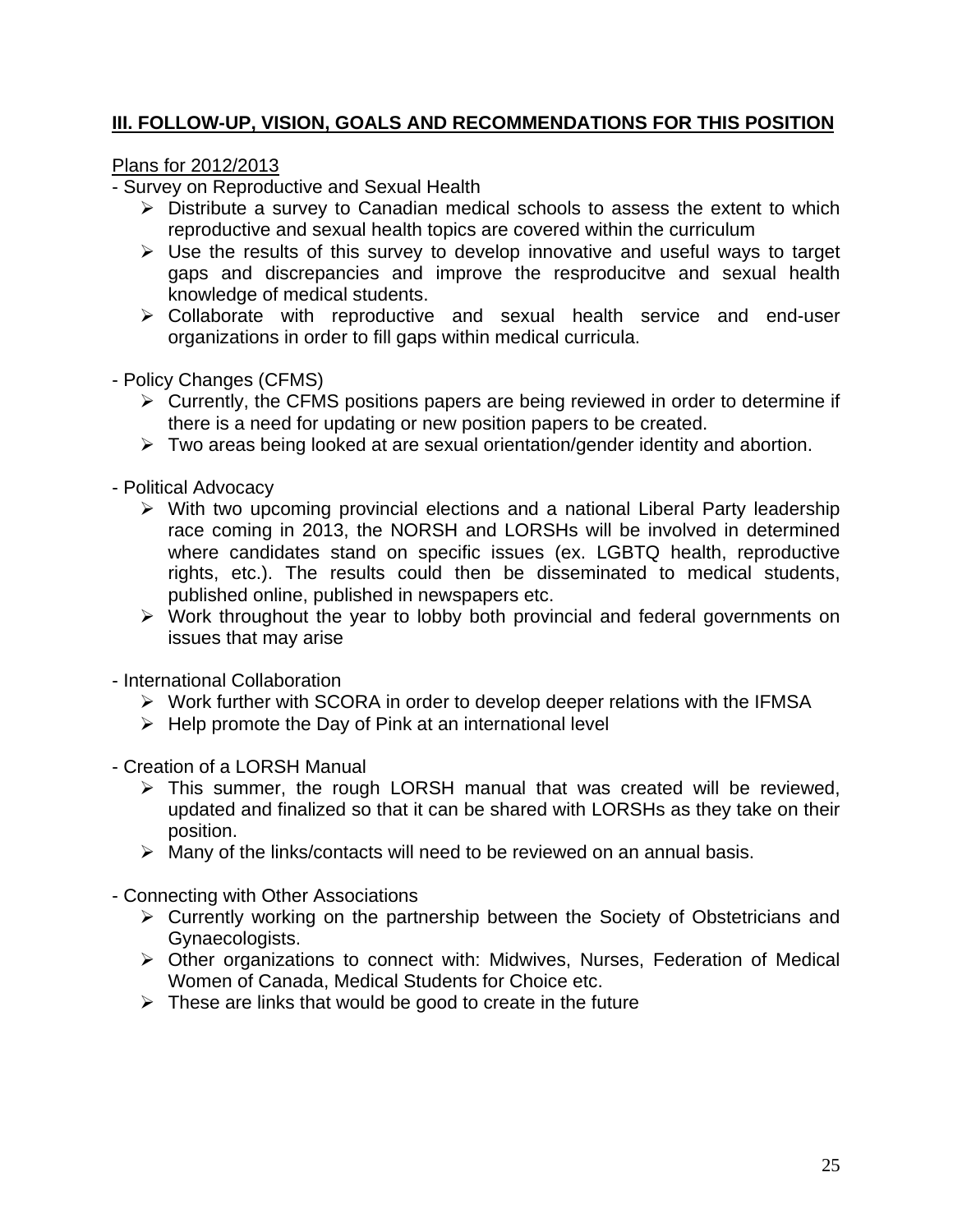# **III. FOLLOW-UP, VISION, GOALS AND RECOMMENDATIONS FOR THIS POSITION**

Plans for 2012/2013

- Survey on Reproductive and Sexual Health

- > Distribute a survey to Canadian medical schools to assess the extent to which reproductive and sexual health topics are covered within the curriculum
- $\triangleright$  Use the results of this survey to develop innovative and useful ways to target gaps and discrepancies and improve the resproducitve and sexual health knowledge of medical students.
- Collaborate with reproductive and sexual health service and end-user organizations in order to fill gaps within medical curricula.
- Policy Changes (CFMS)
	- > Currently, the CFMS positions papers are being reviewed in order to determine if there is a need for updating or new position papers to be created.
	- > Two areas being looked at are sexual orientation/gender identity and abortion.
- Political Advocacy
	- > With two upcoming provincial elections and a national Liberal Party leadership race coming in 2013, the NORSH and LORSHs will be involved in determined where candidates stand on specific issues (ex. LGBTQ health, reproductive rights, etc.). The results could then be disseminated to medical students, published online, published in newspapers etc.
	- > Work throughout the year to lobby both provincial and federal governments on issues that may arise
- International Collaboration
	- > Work further with SCORA in order to develop deeper relations with the IFMSA
	- $\triangleright$  Help promote the Day of Pink at an international level
- Creation of a LORSH Manual
	- > This summer, the rough LORSH manual that was created will be reviewed, updated and finalized so that it can be shared with LORSHs as they take on their position.
	- $\triangleright$  Many of the links/contacts will need to be reviewed on an annual basis.
- Connecting with Other Associations
	- > Currently working on the partnership between the Society of Obstetricians and Gynaecologists.
	- > Other organizations to connect with: Midwives, Nurses, Federation of Medical Women of Canada, Medical Students for Choice etc.
	- $\triangleright$  These are links that would be good to create in the future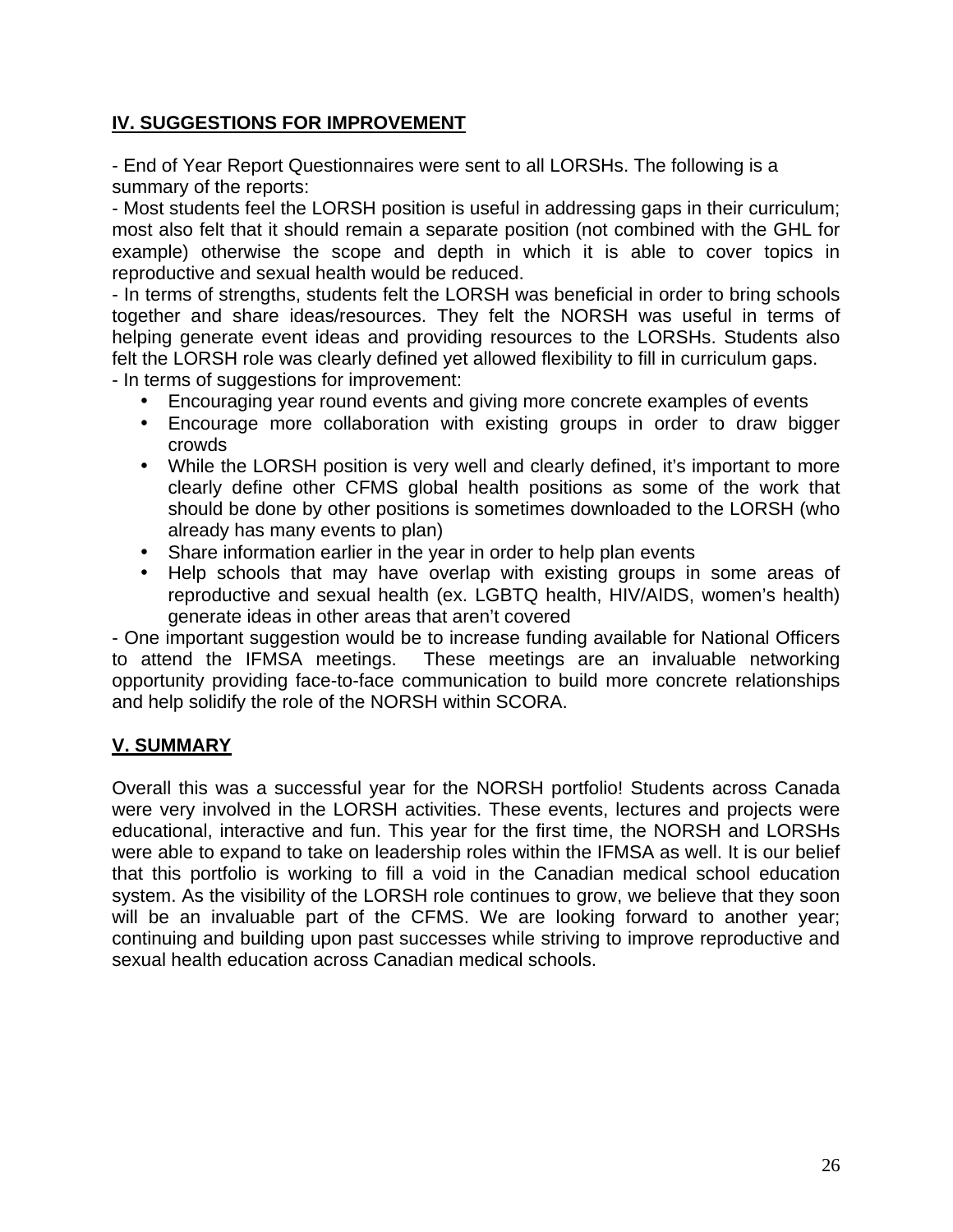# **IV. SUGGESTIONS FOR IMPROVEMENT**

- End of Year Report Questionnaires were sent to all LORSHs. The following is a summary of the reports:

- Most students feel the LORSH position is useful in addressing gaps in their curriculum; most also felt that it should remain a separate position (not combined with the GHL for example) otherwise the scope and depth in which it is able to cover topics in reproductive and sexual health would be reduced.

- In terms of strengths, students felt the LORSH was beneficial in order to bring schools together and share ideas/resources. They felt the NORSH was useful in terms of helping generate event ideas and providing resources to the LORSHs. Students also felt the LORSH role was clearly defined yet allowed flexibility to fill in curriculum gaps. - In terms of suggestions for improvement:

• Encouraging year round events and giving more concrete examples of events

- Encourage more collaboration with existing groups in order to draw bigger crowds
- While the LORSH position is very well and clearly defined, it's important to more clearly define other CFMS global health positions as some of the work that should be done by other positions is sometimes downloaded to the LORSH (who already has many events to plan)
- Share information earlier in the year in order to help plan events
- Help schools that may have overlap with existing groups in some areas of reproductive and sexual health (ex. LGBTQ health, HIV/AIDS, women's health) generate ideas in other areas that aren't covered

- One important suggestion would be to increase funding available for National Officers to attend the IFMSA meetings. These meetings are an invaluable networking opportunity providing face-to-face communication to build more concrete relationships and help solidify the role of the NORSH within SCORA.

# **V. SUMMARY**

Overall this was a successful year for the NORSH portfolio! Students across Canada were very involved in the LORSH activities. These events, lectures and projects were educational, interactive and fun. This year for the first time, the NORSH and LORSHs were able to expand to take on leadership roles within the IFMSA as well. It is our belief that this portfolio is working to fill a void in the Canadian medical school education system. As the visibility of the LORSH role continues to grow, we believe that they soon will be an invaluable part of the CFMS. We are looking forward to another year; continuing and building upon past successes while striving to improve reproductive and sexual health education across Canadian medical schools.